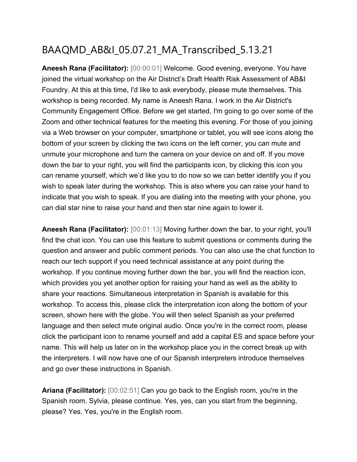# BAAQMD\_AB&I\_05.07.21\_MA\_Transcribed\_5.13.21

**Aneesh Rana (Facilitator):** [00:00:01] Welcome. Good evening, everyone. You have joined the virtual workshop on the Air District's Draft Health Risk Assessment of AB&I Foundry. At this at this time, I'd like to ask everybody, please mute themselves. This workshop is being recorded. My name is Aneesh Rana. I work in the Air District's Community Engagement Office. Before we get started, I'm going to go over some of the Zoom and other technical features for the meeting this evening. For those of you joining via a Web browser on your computer, smartphone or tablet, you will see icons along the bottom of your screen by clicking the two icons on the left corner, you can mute and unmute your microphone and turn the camera on your device on and off. If you move down the bar to your right, you will find the participants icon, by clicking this icon you can rename yourself, which we'd like you to do now so we can better identify you if you wish to speak later during the workshop. This is also where you can raise your hand to indicate that you wish to speak. If you are dialing into the meeting with your phone, you can dial star nine to raise your hand and then star nine again to lower it.

**Aneesh Rana (Facilitator):** [00:01:13] Moving further down the bar, to your right, you'll find the chat icon. You can use this feature to submit questions or comments during the question and answer and public comment periods. You can also use the chat function to reach our tech support if you need technical assistance at any point during the workshop. If you continue moving further down the bar, you will find the reaction icon, which provides you yet another option for raising your hand as well as the ability to share your reactions. Simultaneous interpretation in Spanish is available for this workshop. To access this, please click the interpretation icon along the bottom of your screen, shown here with the globe. You will then select Spanish as your preferred language and then select mute original audio. Once you're in the correct room, please click the participant icon to rename yourself and add a capital ES and space before your name. This will help us later on in the workshop place you in the correct break up with the interpreters. I will now have one of our Spanish interpreters introduce themselves and go over these instructions in Spanish.

**Ariana (Facilitator):** [00:02:51] Can you go back to the English room, you're in the Spanish room. Sylvia, please continue. Yes, yes, can you start from the beginning, please? Yes. Yes, you're in the English room.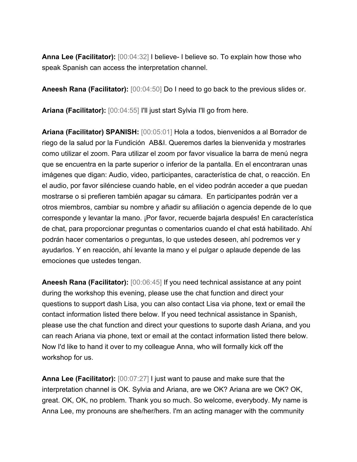**Anna Lee (Facilitator):** [00:04:32] I believe- I believe so. To explain how those who speak Spanish can access the interpretation channel.

**Aneesh Rana (Facilitator):** [00:04:50] Do I need to go back to the previous slides or.

**Ariana (Facilitator):** [00:04:55] I'll just start Sylvia I'll go from here.

**Ariana (Facilitator) SPANISH:** [00:05:01] Hola a todos, bienvenidos a al Borrador de riego de la salud por la Fundición AB&I. Queremos darles la bienvenida y mostrarles como utilizar el zoom. Para utilizar el zoom por favor visualice la barra de menú negra que se encuentra en la parte superior o inferior de la pantalla. En el encontraran unas imágenes que digan: Audio, video, participantes, característica de chat, o reacción. En el audio, por favor silénciese cuando hable, en el video podrán acceder a que puedan mostrarse o si prefieren también apagar su cámara. En participantes podrán ver a otros miembros, cambiar su nombre y añadir su afiliación o agencia depende de lo que corresponde y levantar la mano. ¡Por favor, recuerde bajarla después! En característica de chat, para proporcionar preguntas o comentarios cuando el chat está habilitado. Ahí podrán hacer comentarios o preguntas, lo que ustedes deseen, ahí podremos ver y ayudarlos. Y en reacción, ahí levante la mano y el pulgar o aplaude depende de las emociones que ustedes tengan.

**Aneesh Rana (Facilitator):** [00:06:45] If you need technical assistance at any point during the workshop this evening, please use the chat function and direct your questions to support dash Lisa, you can also contact Lisa via phone, text or email the contact information listed there below. If you need technical assistance in Spanish, please use the chat function and direct your questions to suporte dash Ariana, and you can reach Ariana via phone, text or email at the contact information listed there below. Now I'd like to hand it over to my colleague Anna, who will formally kick off the workshop for us.

**Anna Lee (Facilitator):** [00:07:27] I just want to pause and make sure that the interpretation channel is OK. Sylvia and Ariana, are we OK? Ariana are we OK? OK, great. OK, OK, no problem. Thank you so much. So welcome, everybody. My name is Anna Lee, my pronouns are she/her/hers. I'm an acting manager with the community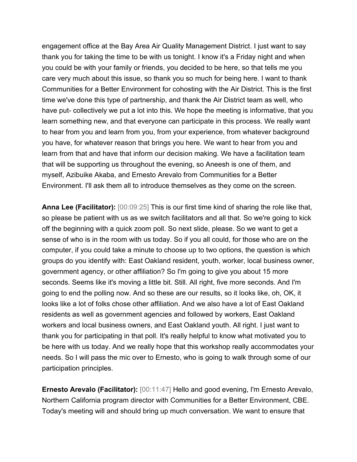engagement office at the Bay Area Air Quality Management District. I just want to say thank you for taking the time to be with us tonight. I know it's a Friday night and when you could be with your family or friends, you decided to be here, so that tells me you care very much about this issue, so thank you so much for being here. I want to thank Communities for a Better Environment for cohosting with the Air District. This is the first time we've done this type of partnership, and thank the Air District team as well, who have put- collectively we put a lot into this. We hope the meeting is informative, that you learn something new, and that everyone can participate in this process. We really want to hear from you and learn from you, from your experience, from whatever background you have, for whatever reason that brings you here. We want to hear from you and learn from that and have that inform our decision making. We have a facilitation team that will be supporting us throughout the evening, so Aneesh is one of them, and myself, Azibuike Akaba, and Ernesto Arevalo from Communities for a Better Environment. I'll ask them all to introduce themselves as they come on the screen.

**Anna Lee (Facilitator):** [00:09:25] This is our first time kind of sharing the role like that, so please be patient with us as we switch facilitators and all that. So we're going to kick off the beginning with a quick zoom poll. So next slide, please. So we want to get a sense of who is in the room with us today. So if you all could, for those who are on the computer, if you could take a minute to choose up to two options, the question is which groups do you identify with: East Oakland resident, youth, worker, local business owner, government agency, or other affiliation? So I'm going to give you about 15 more seconds. Seems like it's moving a little bit. Still. All right, five more seconds. And I'm going to end the polling now. And so these are our results, so it looks like, oh, OK, it looks like a lot of folks chose other affiliation. And we also have a lot of East Oakland residents as well as government agencies and followed by workers, East Oakland workers and local business owners, and East Oakland youth. All right. I just want to thank you for participating in that poll. It's really helpful to know what motivated you to be here with us today. And we really hope that this workshop really accommodates your needs. So I will pass the mic over to Ernesto, who is going to walk through some of our participation principles.

**Ernesto Arevalo (Facilitator):** [00:11:47] Hello and good evening, I'm Ernesto Arevalo, Northern California program director with Communities for a Better Environment, CBE. Today's meeting will and should bring up much conversation. We want to ensure that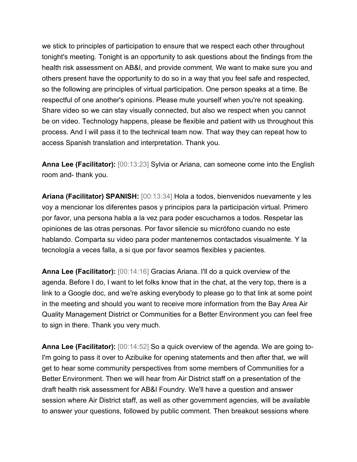we stick to principles of participation to ensure that we respect each other throughout tonight's meeting. Tonight is an opportunity to ask questions about the findings from the health risk assessment on AB&I, and provide comment. We want to make sure you and others present have the opportunity to do so in a way that you feel safe and respected, so the following are principles of virtual participation. One person speaks at a time. Be respectful of one another's opinions. Please mute yourself when you're not speaking. Share video so we can stay visually connected, but also we respect when you cannot be on video. Technology happens, please be flexible and patient with us throughout this process. And I will pass it to the technical team now. That way they can repeat how to access Spanish translation and interpretation. Thank you.

**Anna Lee (Facilitator):** [00:13:23] Sylvia or Ariana, can someone come into the English room and- thank you.

**Ariana (Facilitator) SPANISH:** [00:13:34] Hola a todos, bienvenidos nuevamente y les voy a mencionar los diferentes pasos y principios para la participación virtual. Primero por favor, una persona habla a la vez para poder escucharnos a todos. Respetar las opiniones de las otras personas. Por favor silencie su micrófono cuando no este hablando. Comparta su video para poder mantenernos contactados visualmente. Y la tecnología a veces falla, a si que por favor seamos flexibles y pacientes.

**Anna Lee (Facilitator):** [00:14:16] Gracias Ariana. I'll do a quick overview of the agenda. Before I do, I want to let folks know that in the chat, at the very top, there is a link to a Google doc, and we're asking everybody to please go to that link at some point in the meeting and should you want to receive more information from the Bay Area Air Quality Management District or Communities for a Better Environment you can feel free to sign in there. Thank you very much.

**Anna Lee (Facilitator):** [00:14:52] So a quick overview of the agenda. We are going to-I'm going to pass it over to Azibuike for opening statements and then after that, we will get to hear some community perspectives from some members of Communities for a Better Environment. Then we will hear from Air District staff on a presentation of the draft health risk assessment for AB&I Foundry. We'll have a question and answer session where Air District staff, as well as other government agencies, will be available to answer your questions, followed by public comment. Then breakout sessions where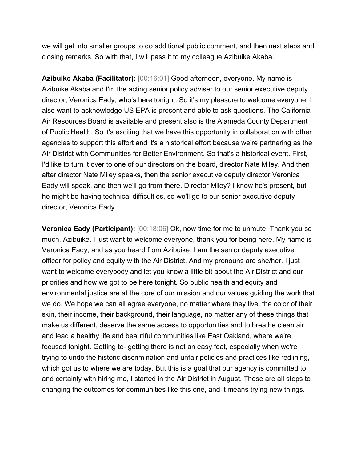we will get into smaller groups to do additional public comment, and then next steps and closing remarks. So with that, I will pass it to my colleague Azibuike Akaba.

**Azibuike Akaba (Facilitator):** [00:16:01] Good afternoon, everyone. My name is Azibuike Akaba and I'm the acting senior policy adviser to our senior executive deputy director, Veronica Eady, who's here tonight. So it's my pleasure to welcome everyone. I also want to acknowledge US EPA is present and able to ask questions. The California Air Resources Board is available and present also is the Alameda County Department of Public Health. So it's exciting that we have this opportunity in collaboration with other agencies to support this effort and it's a historical effort because we're partnering as the Air District with Communities for Better Environment. So that's a historical event. First, I'd like to turn it over to one of our directors on the board, director Nate Miley. And then after director Nate Miley speaks, then the senior executive deputy director Veronica Eady will speak, and then we'll go from there. Director Miley? I know he's present, but he might be having technical difficulties, so we'll go to our senior executive deputy director, Veronica Eady.

**Veronica Eady (Participant):** [00:18:06] Ok, now time for me to unmute. Thank you so much, Azibuike. I just want to welcome everyone, thank you for being here. My name is Veronica Eady, and as you heard from Azibuike, I am the senior deputy executive officer for policy and equity with the Air District. And my pronouns are she/her. I just want to welcome everybody and let you know a little bit about the Air District and our priorities and how we got to be here tonight. So public health and equity and environmental justice are at the core of our mission and our values guiding the work that we do. We hope we can all agree everyone, no matter where they live, the color of their skin, their income, their background, their language, no matter any of these things that make us different, deserve the same access to opportunities and to breathe clean air and lead a healthy life and beautiful communities like East Oakland, where we're focused tonight. Getting to- getting there is not an easy feat, especially when we're trying to undo the historic discrimination and unfair policies and practices like redlining, which got us to where we are today. But this is a goal that our agency is committed to, and certainly with hiring me, I started in the Air District in August. These are all steps to changing the outcomes for communities like this one, and it means trying new things.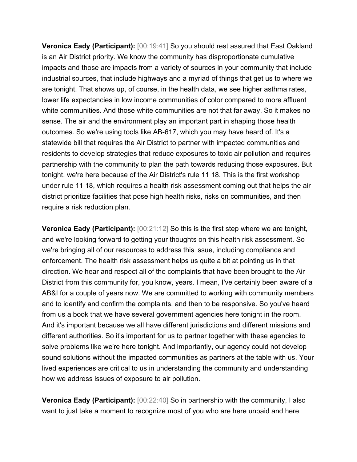**Veronica Eady (Participant):** [00:19:41] So you should rest assured that East Oakland is an Air District priority. We know the community has disproportionate cumulative impacts and those are impacts from a variety of sources in your community that include industrial sources, that include highways and a myriad of things that get us to where we are tonight. That shows up, of course, in the health data, we see higher asthma rates, lower life expectancies in low income communities of color compared to more affluent white communities. And those white communities are not that far away. So it makes no sense. The air and the environment play an important part in shaping those health outcomes. So we're using tools like AB-617, which you may have heard of. It's a statewide bill that requires the Air District to partner with impacted communities and residents to develop strategies that reduce exposures to toxic air pollution and requires partnership with the community to plan the path towards reducing those exposures. But tonight, we're here because of the Air District's rule 11 18. This is the first workshop under rule 11 18, which requires a health risk assessment coming out that helps the air district prioritize facilities that pose high health risks, risks on communities, and then require a risk reduction plan.

**Veronica Eady (Participant):** [00:21:12] So this is the first step where we are tonight, and we're looking forward to getting your thoughts on this health risk assessment. So we're bringing all of our resources to address this issue, including compliance and enforcement. The health risk assessment helps us quite a bit at pointing us in that direction. We hear and respect all of the complaints that have been brought to the Air District from this community for, you know, years. I mean, I've certainly been aware of a AB&I for a couple of years now. We are committed to working with community members and to identify and confirm the complaints, and then to be responsive. So you've heard from us a book that we have several government agencies here tonight in the room. And it's important because we all have different jurisdictions and different missions and different authorities. So it's important for us to partner together with these agencies to solve problems like we're here tonight. And importantly, our agency could not develop sound solutions without the impacted communities as partners at the table with us. Your lived experiences are critical to us in understanding the community and understanding how we address issues of exposure to air pollution.

**Veronica Eady (Participant):** [00:22:40] So in partnership with the community, I also want to just take a moment to recognize most of you who are here unpaid and here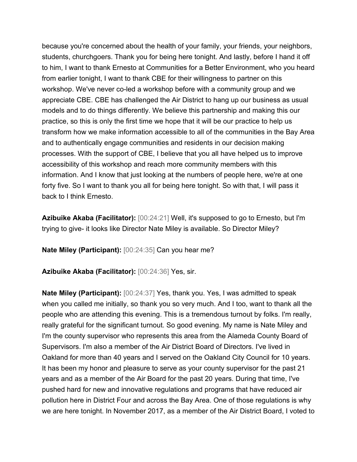because you're concerned about the health of your family, your friends, your neighbors, students, churchgoers. Thank you for being here tonight. And lastly, before I hand it off to him, I want to thank Ernesto at Communities for a Better Environment, who you heard from earlier tonight, I want to thank CBE for their willingness to partner on this workshop. We've never co-led a workshop before with a community group and we appreciate CBE. CBE has challenged the Air District to hang up our business as usual models and to do things differently. We believe this partnership and making this our practice, so this is only the first time we hope that it will be our practice to help us transform how we make information accessible to all of the communities in the Bay Area and to authentically engage communities and residents in our decision making processes. With the support of CBE, I believe that you all have helped us to improve accessibility of this workshop and reach more community members with this information. And I know that just looking at the numbers of people here, we're at one forty five. So I want to thank you all for being here tonight. So with that, I will pass it back to I think Ernesto.

**Azibuike Akaba (Facilitator):** [00:24:21] Well, it's supposed to go to Ernesto, but I'm trying to give- it looks like Director Nate Miley is available. So Director Miley?

**Nate Miley (Participant):** [00:24:35] Can you hear me?

**Azibuike Akaba (Facilitator):** [00:24:36] Yes, sir.

**Nate Miley (Participant):** [00:24:37] Yes, thank you. Yes, I was admitted to speak when you called me initially, so thank you so very much. And I too, want to thank all the people who are attending this evening. This is a tremendous turnout by folks. I'm really, really grateful for the significant turnout. So good evening. My name is Nate Miley and I'm the county supervisor who represents this area from the Alameda County Board of Supervisors. I'm also a member of the Air District Board of Directors. I've lived in Oakland for more than 40 years and I served on the Oakland City Council for 10 years. It has been my honor and pleasure to serve as your county supervisor for the past 21 years and as a member of the Air Board for the past 20 years. During that time, I've pushed hard for new and innovative regulations and programs that have reduced air pollution here in District Four and across the Bay Area. One of those regulations is why we are here tonight. In November 2017, as a member of the Air District Board, I voted to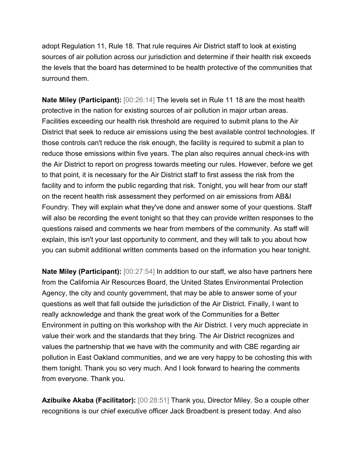adopt Regulation 11, Rule 18. That rule requires Air District staff to look at existing sources of air pollution across our jurisdiction and determine if their health risk exceeds the levels that the board has determined to be health protective of the communities that surround them.

**Nate Miley (Participant):** [00:26:14] The levels set in Rule 11 18 are the most health protective in the nation for existing sources of air pollution in major urban areas. Facilities exceeding our health risk threshold are required to submit plans to the Air District that seek to reduce air emissions using the best available control technologies. If those controls can't reduce the risk enough, the facility is required to submit a plan to reduce those emissions within five years. The plan also requires annual check-ins with the Air District to report on progress towards meeting our rules. However, before we get to that point, it is necessary for the Air District staff to first assess the risk from the facility and to inform the public regarding that risk. Tonight, you will hear from our staff on the recent health risk assessment they performed on air emissions from AB&I Foundry. They will explain what they've done and answer some of your questions. Staff will also be recording the event tonight so that they can provide written responses to the questions raised and comments we hear from members of the community. As staff will explain, this isn't your last opportunity to comment, and they will talk to you about how you can submit additional written comments based on the information you hear tonight.

**Nate Miley (Participant):** [00:27:54] In addition to our staff, we also have partners here from the California Air Resources Board, the United States Environmental Protection Agency, the city and county government, that may be able to answer some of your questions as well that fall outside the jurisdiction of the Air District. Finally, I want to really acknowledge and thank the great work of the Communities for a Better Environment in putting on this workshop with the Air District. I very much appreciate in value their work and the standards that they bring. The Air District recognizes and values the partnership that we have with the community and with CBE regarding air pollution in East Oakland communities, and we are very happy to be cohosting this with them tonight. Thank you so very much. And I look forward to hearing the comments from everyone. Thank you.

**Azibuike Akaba (Facilitator):** [00:28:51] Thank you, Director Miley. So a couple other recognitions is our chief executive officer Jack Broadbent is present today. And also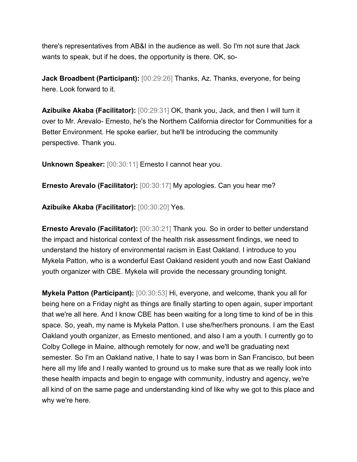there's representatives from AB&I in the audience as well. So I'm not sure that Jack wants to speak, but if he does, the opportunity is there. OK, so-

**Jack Broadbent (Participant):** [00:29:26] Thanks, Az. Thanks, everyone, for being here. Look forward to it.

**Azibuike Akaba (Facilitator):** [00:29:31] OK, thank you, Jack, and then I will turn it over to Mr. Arevalo- Ernesto, he's the Northern California director for Communities for a Better Environment. He spoke earlier, but he'll be introducing the community perspective. Thank you.

**Unknown Speaker:** [00:30:11] Ernesto I cannot hear you.

**Ernesto Arevalo (Facilitator):** [00:30:17] My apologies. Can you hear me?

**Azibuike Akaba (Facilitator):** [00:30:20] Yes.

**Ernesto Arevalo (Facilitator):** [00:30:21] Thank you. So in order to better understand the impact and historical context of the health risk assessment findings, we need to understand the history of environmental racism in East Oakland. I introduce to you Mykela Patton, who is a wonderful East Oakland resident youth and now East Oakland youth organizer with CBE. Mykela will provide the necessary grounding tonight.

**Mykela Patton (Participant):** [00:30:53] Hi, everyone, and welcome, thank you all for being here on a Friday night as things are finally starting to open again, super important that we're all here. And I know CBE has been waiting for a long time to kind of be in this space. So, yeah, my name is Mykela Patton. I use she/her/hers pronouns. I am the East Oakland youth organizer, as Ernesto mentioned, and also I am a youth. I currently go to Colby College in Maine, although remotely for now, and we'll be graduating next semester. So I'm an Oakland native, I hate to say I was born in San Francisco, but been here all my life and I really wanted to ground us to make sure that as we really look into these health impacts and begin to engage with community, industry and agency, we're all kind of on the same page and understanding kind of like why we got to this place and why we're here.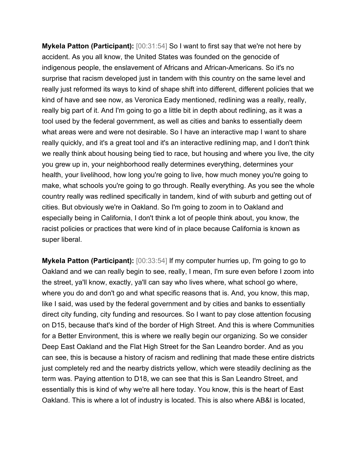**Mykela Patton (Participant):** [00:31:54] So I want to first say that we're not here by accident. As you all know, the United States was founded on the genocide of indigenous people, the enslavement of Africans and African-Americans. So it's no surprise that racism developed just in tandem with this country on the same level and really just reformed its ways to kind of shape shift into different, different policies that we kind of have and see now, as Veronica Eady mentioned, redlining was a really, really, really big part of it. And I'm going to go a little bit in depth about redlining, as it was a tool used by the federal government, as well as cities and banks to essentially deem what areas were and were not desirable. So I have an interactive map I want to share really quickly, and it's a great tool and it's an interactive redlining map, and I don't think we really think about housing being tied to race, but housing and where you live, the city you grew up in, your neighborhood really determines everything, determines your health, your livelihood, how long you're going to live, how much money you're going to make, what schools you're going to go through. Really everything. As you see the whole country really was redlined specifically in tandem, kind of with suburb and getting out of cities. But obviously we're in Oakland. So I'm going to zoom in to Oakland and especially being in California, I don't think a lot of people think about, you know, the racist policies or practices that were kind of in place because California is known as super liberal.

**Mykela Patton (Participant):** [00:33:54] If my computer hurries up, I'm going to go to Oakland and we can really begin to see, really, I mean, I'm sure even before I zoom into the street, ya'll know, exactly, ya'll can say who lives where, what school go where, where you do and don't go and what specific reasons that is. And, you know, this map, like I said, was used by the federal government and by cities and banks to essentially direct city funding, city funding and resources. So I want to pay close attention focusing on D15, because that's kind of the border of High Street. And this is where Communities for a Better Environment, this is where we really begin our organizing. So we consider Deep East Oakland and the Flat High Street for the San Leandro border. And as you can see, this is because a history of racism and redlining that made these entire districts just completely red and the nearby districts yellow, which were steadily declining as the term was. Paying attention to D18, we can see that this is San Leandro Street, and essentially this is kind of why we're all here today. You know, this is the heart of East Oakland. This is where a lot of industry is located. This is also where AB&I is located,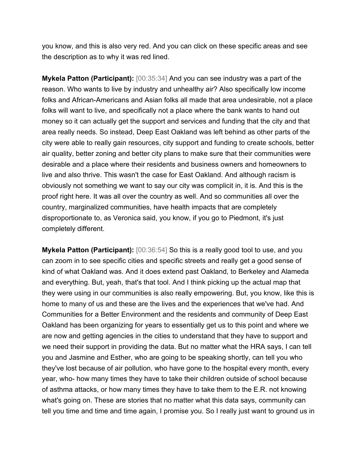you know, and this is also very red. And you can click on these specific areas and see the description as to why it was red lined.

**Mykela Patton (Participant):** [00:35:34] And you can see industry was a part of the reason. Who wants to live by industry and unhealthy air? Also specifically low income folks and African-Americans and Asian folks all made that area undesirable, not a place folks will want to live, and specifically not a place where the bank wants to hand out money so it can actually get the support and services and funding that the city and that area really needs. So instead, Deep East Oakland was left behind as other parts of the city were able to really gain resources, city support and funding to create schools, better air quality, better zoning and better city plans to make sure that their communities were desirable and a place where their residents and business owners and homeowners to live and also thrive. This wasn't the case for East Oakland. And although racism is obviously not something we want to say our city was complicit in, it is. And this is the proof right here. It was all over the country as well. And so communities all over the country, marginalized communities, have health impacts that are completely disproportionate to, as Veronica said, you know, if you go to Piedmont, it's just completely different.

**Mykela Patton (Participant):** [00:36:54] So this is a really good tool to use, and you can zoom in to see specific cities and specific streets and really get a good sense of kind of what Oakland was. And it does extend past Oakland, to Berkeley and Alameda and everything. But, yeah, that's that tool. And I think picking up the actual map that they were using in our communities is also really empowering. But, you know, like this is home to many of us and these are the lives and the experiences that we've had. And Communities for a Better Environment and the residents and community of Deep East Oakland has been organizing for years to essentially get us to this point and where we are now and getting agencies in the cities to understand that they have to support and we need their support in providing the data. But no matter what the HRA says, I can tell you and Jasmine and Esther, who are going to be speaking shortly, can tell you who they've lost because of air pollution, who have gone to the hospital every month, every year, who- how many times they have to take their children outside of school because of asthma attacks, or how many times they have to take them to the E.R. not knowing what's going on. These are stories that no matter what this data says, community can tell you time and time and time again, I promise you. So I really just want to ground us in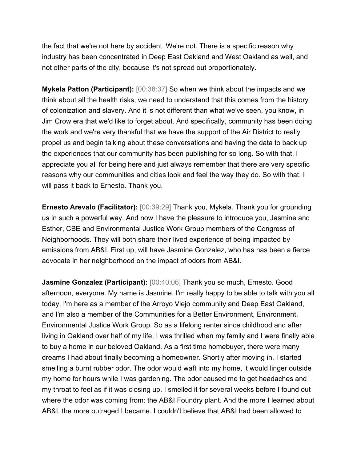the fact that we're not here by accident. We're not. There is a specific reason why industry has been concentrated in Deep East Oakland and West Oakland as well, and not other parts of the city, because it's not spread out proportionately.

**Mykela Patton (Participant):** [00:38:37] So when we think about the impacts and we think about all the health risks, we need to understand that this comes from the history of colonization and slavery. And it is not different than what we've seen, you know, in Jim Crow era that we'd like to forget about. And specifically, community has been doing the work and we're very thankful that we have the support of the Air District to really propel us and begin talking about these conversations and having the data to back up the experiences that our community has been publishing for so long. So with that, I appreciate you all for being here and just always remember that there are very specific reasons why our communities and cities look and feel the way they do. So with that, I will pass it back to Ernesto. Thank you.

**Ernesto Arevalo (Facilitator):** [00:39:29] Thank you, Mykela. Thank you for grounding us in such a powerful way. And now I have the pleasure to introduce you, Jasmine and Esther, CBE and Environmental Justice Work Group members of the Congress of Neighborhoods. They will both share their lived experience of being impacted by emissions from AB&I. First up, will have Jasmine Gonzalez, who has has been a fierce advocate in her neighborhood on the impact of odors from AB&I.

**Jasmine Gonzalez (Participant):** [00:40:06] Thank you so much, Ernesto. Good afternoon, everyone. My name is Jasmine. I'm really happy to be able to talk with you all today. I'm here as a member of the Arroyo Viejo community and Deep East Oakland, and I'm also a member of the Communities for a Better Environment, Environment, Environmental Justice Work Group. So as a lifelong renter since childhood and after living in Oakland over half of my life, I was thrilled when my family and I were finally able to buy a home in our beloved Oakland. As a first time homebuyer, there were many dreams I had about finally becoming a homeowner. Shortly after moving in, I started smelling a burnt rubber odor. The odor would waft into my home, it would linger outside my home for hours while I was gardening. The odor caused me to get headaches and my throat to feel as if it was closing up. I smelled it for several weeks before I found out where the odor was coming from: the AB&I Foundry plant. And the more I learned about AB&I, the more outraged I became. I couldn't believe that AB&I had been allowed to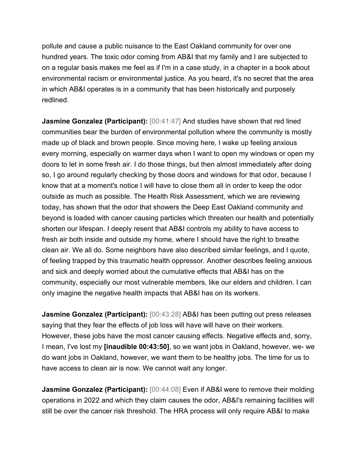pollute and cause a public nuisance to the East Oakland community for over one hundred years. The toxic odor coming from AB&I that my family and I are subjected to on a regular basis makes me feel as if I'm in a case study, in a chapter in a book about environmental racism or environmental justice. As you heard, it's no secret that the area in which AB&I operates is in a community that has been historically and purposely redlined.

**Jasmine Gonzalez (Participant):** [00:41:47] And studies have shown that red lined communities bear the burden of environmental pollution where the community is mostly made up of black and brown people. Since moving here, I wake up feeling anxious every morning, especially on warmer days when I want to open my windows or open my doors to let in some fresh air. I do those things, but then almost immediately after doing so, I go around regularly checking by those doors and windows for that odor, because I know that at a moment's notice I will have to close them all in order to keep the odor outside as much as possible. The Health Risk Assessment, which we are reviewing today, has shown that the odor that showers the Deep East Oakland community and beyond is loaded with cancer causing particles which threaten our health and potentially shorten our lifespan. I deeply resent that AB&I controls my ability to have access to fresh air both inside and outside my home, where I should have the right to breathe clean air. We all do. Some neighbors have also described similar feelings, and I quote, of feeling trapped by this traumatic health oppressor. Another describes feeling anxious and sick and deeply worried about the cumulative effects that AB&I has on the community, especially our most vulnerable members, like our elders and children. I can only imagine the negative health impacts that AB&I has on its workers.

**Jasmine Gonzalez (Participant):** [00:43:28] AB&I has been putting out press releases saying that they fear the effects of job loss will have will have on their workers. However, these jobs have the most cancer causing effects. Negative effects and, sorry, I mean, I've lost my **[inaudible 00:43:50]**, so we want jobs in Oakland, however, we- we do want jobs in Oakland, however, we want them to be healthy jobs. The time for us to have access to clean air is now. We cannot wait any longer.

**Jasmine Gonzalez (Participant):** [00:44:08] Even if AB&I were to remove their molding operations in 2022 and which they claim causes the odor, AB&I's remaining facilities will still be over the cancer risk threshold. The HRA process will only require AB&I to make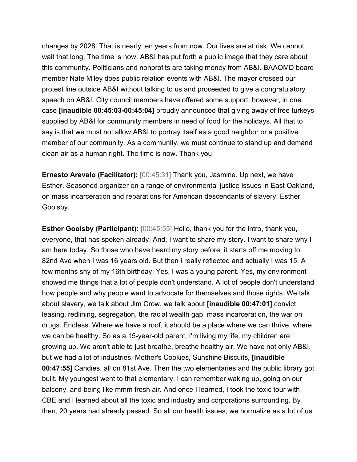changes by 2028. That is nearly ten years from now. Our lives are at risk. We cannot wait that long. The time is now. AB&I has put forth a public image that they care about this community. Politicians and nonprofits are taking money from AB&I. BAAQMD board member Nate Miley does public relation events with AB&I. The mayor crossed our protest line outside AB&I without talking to us and proceeded to give a congratulatory speech on AB&I. City council members have offered some support, however, in one case **[inaudible 00:45:03-00:45:04]** proudly announced that giving away of free turkeys supplied by AB&I for community members in need of food for the holidays. All that to say is that we must not allow AB&I to portray itself as a good neighbor or a positive member of our community. As a community, we must continue to stand up and demand clean air as a human right. The time is now. Thank you.

**Ernesto Arevalo (Facilitator):** [00:45:31] Thank you, Jasmine. Up next, we have Esther. Seasoned organizer on a range of environmental justice issues in East Oakland, on mass incarceration and reparations for American descendants of slavery. Esther Goolsby.

**Esther Goolsby (Participant):** [00:45:55] Hello, thank you for the intro, thank you, everyone, that has spoken already. And, I want to share my story. I want to share why I am here today. So those who have heard my story before, it starts off me moving to 82nd Ave when I was 16 years old. But then I really reflected and actually I was 15. A few months shy of my 16th birthday. Yes, I was a young parent. Yes, my environment showed me things that a lot of people don't understand. A lot of people don't understand how people and why people want to advocate for themselves and those rights. We talk about slavery, we talk about Jim Crow, we talk about **[inaudible 00:47:01]** convict leasing, redlining, segregation, the racial wealth gap, mass incarceration, the war on drugs. Endless. Where we have a roof, it should be a place where we can thrive, where we can be healthy. So as a 15-year-old parent, I'm living my life, my children are growing up. We aren't able to just breathe, breathe healthy air. We have not only AB&I, but we had a lot of industries, Mother's Cookies, Sunshine Biscuits, **[inaudible 00:47:55]** Candies, all on 81st Ave. Then the two elementaries and the public library got built. My youngest went to that elementary. I can remember waking up, going on our balcony, and being like mmm fresh air. And once I learned, I took the toxic tour with CBE and I learned about all the toxic and industry and corporations surrounding. By then, 20 years had already passed. So all our health issues, we normalize as a lot of us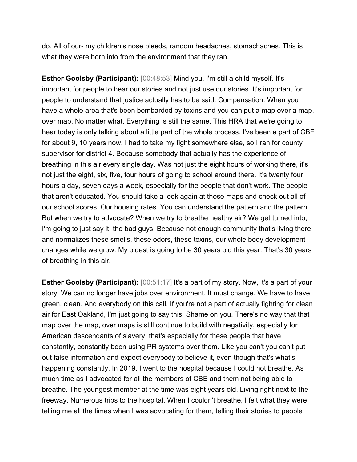do. All of our- my children's nose bleeds, random headaches, stomachaches. This is what they were born into from the environment that they ran.

**Esther Goolsby (Participant):** [00:48:53] Mind you, I'm still a child myself. It's important for people to hear our stories and not just use our stories. It's important for people to understand that justice actually has to be said. Compensation. When you have a whole area that's been bombarded by toxins and you can put a map over a map, over map. No matter what. Everything is still the same. This HRA that we're going to hear today is only talking about a little part of the whole process. I've been a part of CBE for about 9, 10 years now. I had to take my fight somewhere else, so I ran for county supervisor for district 4. Because somebody that actually has the experience of breathing in this air every single day. Was not just the eight hours of working there, it's not just the eight, six, five, four hours of going to school around there. It's twenty four hours a day, seven days a week, especially for the people that don't work. The people that aren't educated. You should take a look again at those maps and check out all of our school scores. Our housing rates. You can understand the pattern and the pattern. But when we try to advocate? When we try to breathe healthy air? We get turned into, I'm going to just say it, the bad guys. Because not enough community that's living there and normalizes these smells, these odors, these toxins, our whole body development changes while we grow. My oldest is going to be 30 years old this year. That's 30 years of breathing in this air.

**Esther Goolsby (Participant):** [00:51:17] It's a part of my story. Now, it's a part of your story. We can no longer have jobs over environment. It must change. We have to have green, clean. And everybody on this call. If you're not a part of actually fighting for clean air for East Oakland, I'm just going to say this: Shame on you. There's no way that that map over the map, over maps is still continue to build with negativity, especially for American descendants of slavery, that's especially for these people that have constantly, constantly been using PR systems over them. Like you can't you can't put out false information and expect everybody to believe it, even though that's what's happening constantly. In 2019, I went to the hospital because I could not breathe. As much time as I advocated for all the members of CBE and them not being able to breathe. The youngest member at the time was eight years old. Living right next to the freeway. Numerous trips to the hospital. When I couldn't breathe, I felt what they were telling me all the times when I was advocating for them, telling their stories to people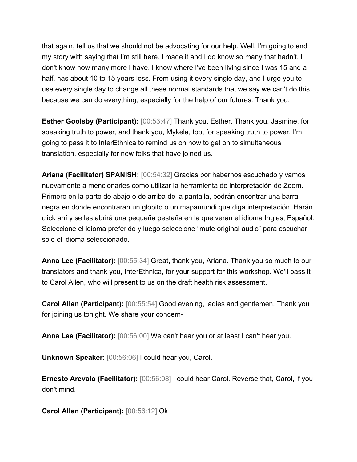that again, tell us that we should not be advocating for our help. Well, I'm going to end my story with saying that I'm still here. I made it and I do know so many that hadn't. I don't know how many more I have. I know where I've been living since I was 15 and a half, has about 10 to 15 years less. From using it every single day, and I urge you to use every single day to change all these normal standards that we say we can't do this because we can do everything, especially for the help of our futures. Thank you.

**Esther Goolsby (Participant):** [00:53:47] Thank you, Esther. Thank you, Jasmine, for speaking truth to power, and thank you, Mykela, too, for speaking truth to power. I'm going to pass it to InterEthnica to remind us on how to get on to simultaneous translation, especially for new folks that have joined us.

**Ariana (Facilitator) SPANISH:** [00:54:32] Gracias por habernos escuchado y vamos nuevamente a mencionarles como utilizar la herramienta de interpretación de Zoom. Primero en la parte de abajo o de arriba de la pantalla, podrán encontrar una barra negra en donde encontraran un globito o un mapamundi que diga interpretación. Harán click ahí y se les abrirá una pequeña pestaña en la que verán el idioma Ingles, Español. Seleccione el idioma preferido y luego seleccione "mute original audio" para escuchar solo el idioma seleccionado.

**Anna Lee (Facilitator):** [00:55:34] Great, thank you, Ariana. Thank you so much to our translators and thank you, InterEthnica, for your support for this workshop. We'll pass it to Carol Allen, who will present to us on the draft health risk assessment.

**Carol Allen (Participant):** [00:55:54] Good evening, ladies and gentlemen, Thank you for joining us tonight. We share your concern-

**Anna Lee (Facilitator):** [00:56:00] We can't hear you or at least I can't hear you.

**Unknown Speaker:** [00:56:06] I could hear you, Carol.

**Ernesto Arevalo (Facilitator):** [00:56:08] I could hear Carol. Reverse that, Carol, if you don't mind.

**Carol Allen (Participant):** [00:56:12] Ok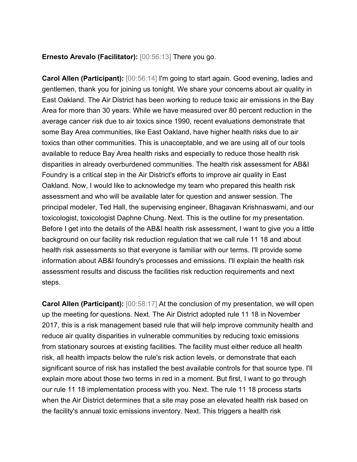#### **Ernesto Arevalo (Facilitator):** [00:56:13] There you go.

**Carol Allen (Participant):** [00:56:14] I'm going to start again. Good evening, ladies and gentlemen, thank you for joining us tonight. We share your concerns about air quality in East Oakland. The Air District has been working to reduce toxic air emissions in the Bay Area for more than 30 years. While we have measured over 80 percent reduction in the average cancer risk due to air toxics since 1990, recent evaluations demonstrate that some Bay Area communities, like East Oakland, have higher health risks due to air toxics than other communities. This is unacceptable, and we are using all of our tools available to reduce Bay Area health risks and especially to reduce those health risk disparities in already overburdened communities. The health risk assessment for AB&I Foundry is a critical step in the Air District's efforts to improve air quality in East Oakland. Now, I would like to acknowledge my team who prepared this health risk assessment and who will be available later for question and answer session. The principal modeler, Ted Hall, the supervising engineer, Bhagavan Krishnaswami, and our toxicologist, toxicologist Daphne Chung. Next. This is the outline for my presentation. Before I get into the details of the AB&I health risk assessment, I want to give you a little background on our facility risk reduction regulation that we call rule 11 18 and about health risk assessments so that everyone is familiar with our terms. I'll provide some information about AB&I foundry's processes and emissions. I'll explain the health risk assessment results and discuss the facilities risk reduction requirements and next steps.

**Carol Allen (Participant):** [00:58:17] At the conclusion of my presentation, we will open up the meeting for questions. Next. The Air District adopted rule 11 18 in November 2017, this is a risk management based rule that will help improve community health and reduce air quality disparities in vulnerable communities by reducing toxic emissions from stationary sources at existing facilities. The facility must either reduce all health risk, all health impacts below the rule's risk action levels, or demonstrate that each significant source of risk has installed the best available controls for that source type. I'll explain more about those two terms in red in a moment. But first, I want to go through our rule 11 18 implementation process with you. Next. The rule 11 18 process starts when the Air District determines that a site may pose an elevated health risk based on the facility's annual toxic emissions inventory. Next. This triggers a health risk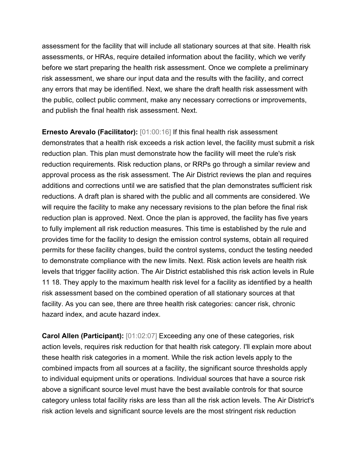assessment for the facility that will include all stationary sources at that site. Health risk assessments, or HRAs, require detailed information about the facility, which we verify before we start preparing the health risk assessment. Once we complete a preliminary risk assessment, we share our input data and the results with the facility, and correct any errors that may be identified. Next, we share the draft health risk assessment with the public, collect public comment, make any necessary corrections or improvements, and publish the final health risk assessment. Next.

**Ernesto Arevalo (Facilitator):** [01:00:16] If this final health risk assessment demonstrates that a health risk exceeds a risk action level, the facility must submit a risk reduction plan. This plan must demonstrate how the facility will meet the rule's risk reduction requirements. Risk reduction plans, or RRPs go through a similar review and approval process as the risk assessment. The Air District reviews the plan and requires additions and corrections until we are satisfied that the plan demonstrates sufficient risk reductions. A draft plan is shared with the public and all comments are considered. We will require the facility to make any necessary revisions to the plan before the final risk reduction plan is approved. Next. Once the plan is approved, the facility has five years to fully implement all risk reduction measures. This time is established by the rule and provides time for the facility to design the emission control systems, obtain all required permits for these facility changes, build the control systems, conduct the testing needed to demonstrate compliance with the new limits. Next. Risk action levels are health risk levels that trigger facility action. The Air District established this risk action levels in Rule 11 18. They apply to the maximum health risk level for a facility as identified by a health risk assessment based on the combined operation of all stationary sources at that facility. As you can see, there are three health risk categories: cancer risk, chronic hazard index, and acute hazard index.

**Carol Allen (Participant):** [01:02:07] Exceeding any one of these categories, risk action levels, requires risk reduction for that health risk category. I'll explain more about these health risk categories in a moment. While the risk action levels apply to the combined impacts from all sources at a facility, the significant source thresholds apply to individual equipment units or operations. Individual sources that have a source risk above a significant source level must have the best available controls for that source category unless total facility risks are less than all the risk action levels. The Air District's risk action levels and significant source levels are the most stringent risk reduction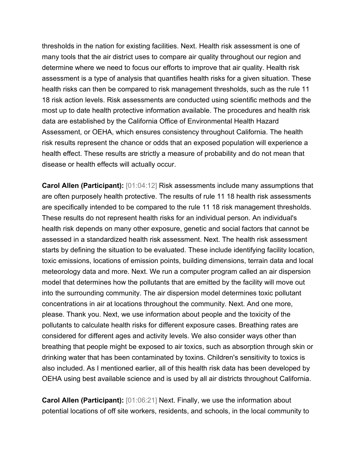thresholds in the nation for existing facilities. Next. Health risk assessment is one of many tools that the air district uses to compare air quality throughout our region and determine where we need to focus our efforts to improve that air quality. Health risk assessment is a type of analysis that quantifies health risks for a given situation. These health risks can then be compared to risk management thresholds, such as the rule 11 18 risk action levels. Risk assessments are conducted using scientific methods and the most up to date health protective information available. The procedures and health risk data are established by the California Office of Environmental Health Hazard Assessment, or OEHA, which ensures consistency throughout California. The health risk results represent the chance or odds that an exposed population will experience a health effect. These results are strictly a measure of probability and do not mean that disease or health effects will actually occur.

**Carol Allen (Participant):** [01:04:12] Risk assessments include many assumptions that are often purposely health protective. The results of rule 11 18 health risk assessments are specifically intended to be compared to the rule 11 18 risk management thresholds. These results do not represent health risks for an individual person. An individual's health risk depends on many other exposure, genetic and social factors that cannot be assessed in a standardized health risk assessment. Next. The health risk assessment starts by defining the situation to be evaluated. These include identifying facility location, toxic emissions, locations of emission points, building dimensions, terrain data and local meteorology data and more. Next. We run a computer program called an air dispersion model that determines how the pollutants that are emitted by the facility will move out into the surrounding community. The air dispersion model determines toxic pollutant concentrations in air at locations throughout the community. Next. And one more, please. Thank you. Next, we use information about people and the toxicity of the pollutants to calculate health risks for different exposure cases. Breathing rates are considered for different ages and activity levels. We also consider ways other than breathing that people might be exposed to air toxics, such as absorption through skin or drinking water that has been contaminated by toxins. Children's sensitivity to toxics is also included. As I mentioned earlier, all of this health risk data has been developed by OEHA using best available science and is used by all air districts throughout California.

**Carol Allen (Participant):** [01:06:21] Next. Finally, we use the information about potential locations of off site workers, residents, and schools, in the local community to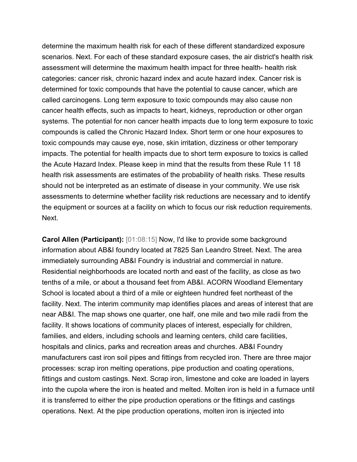determine the maximum health risk for each of these different standardized exposure scenarios. Next. For each of these standard exposure cases, the air district's health risk assessment will determine the maximum health impact for three health- health risk categories: cancer risk, chronic hazard index and acute hazard index. Cancer risk is determined for toxic compounds that have the potential to cause cancer, which are called carcinogens. Long term exposure to toxic compounds may also cause non cancer health effects, such as impacts to heart, kidneys, reproduction or other organ systems. The potential for non cancer health impacts due to long term exposure to toxic compounds is called the Chronic Hazard Index. Short term or one hour exposures to toxic compounds may cause eye, nose, skin irritation, dizziness or other temporary impacts. The potential for health impacts due to short term exposure to toxics is called the Acute Hazard Index. Please keep in mind that the results from these Rule 11 18 health risk assessments are estimates of the probability of health risks. These results should not be interpreted as an estimate of disease in your community. We use risk assessments to determine whether facility risk reductions are necessary and to identify the equipment or sources at a facility on which to focus our risk reduction requirements. Next.

**Carol Allen (Participant):** [01:08:15] Now, I'd like to provide some background information about AB&I foundry located at 7825 San Leandro Street. Next. The area immediately surrounding AB&I Foundry is industrial and commercial in nature. Residential neighborhoods are located north and east of the facility, as close as two tenths of a mile, or about a thousand feet from AB&I. ACORN Woodland Elementary School is located about a third of a mile or eighteen hundred feet northeast of the facility. Next. The interim community map identifies places and areas of interest that are near AB&I. The map shows one quarter, one half, one mile and two mile radii from the facility. It shows locations of community places of interest, especially for children, families, and elders, including schools and learning centers, child care facilities, hospitals and clinics, parks and recreation areas and churches. AB&I Foundry manufacturers cast iron soil pipes and fittings from recycled iron. There are three major processes: scrap iron melting operations, pipe production and coating operations, fittings and custom castings. Next. Scrap iron, limestone and coke are loaded in layers into the cupola where the iron is heated and melted. Molten iron is held in a furnace until it is transferred to either the pipe production operations or the fittings and castings operations. Next. At the pipe production operations, molten iron is injected into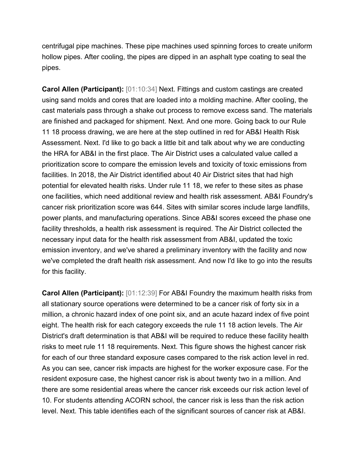centrifugal pipe machines. These pipe machines used spinning forces to create uniform hollow pipes. After cooling, the pipes are dipped in an asphalt type coating to seal the pipes.

**Carol Allen (Participant):** [01:10:34] Next. Fittings and custom castings are created using sand molds and cores that are loaded into a molding machine. After cooling, the cast materials pass through a shake out process to remove excess sand. The materials are finished and packaged for shipment. Next. And one more. Going back to our Rule 11 18 process drawing, we are here at the step outlined in red for AB&I Health Risk Assessment. Next. I'd like to go back a little bit and talk about why we are conducting the HRA for AB&I in the first place. The Air District uses a calculated value called a prioritization score to compare the emission levels and toxicity of toxic emissions from facilities. In 2018, the Air District identified about 40 Air District sites that had high potential for elevated health risks. Under rule 11 18, we refer to these sites as phase one facilities, which need additional review and health risk assessment. AB&I Foundry's cancer risk prioritization score was 644. Sites with similar scores include large landfills, power plants, and manufacturing operations. Since AB&I scores exceed the phase one facility thresholds, a health risk assessment is required. The Air District collected the necessary input data for the health risk assessment from AB&I, updated the toxic emission inventory, and we've shared a preliminary inventory with the facility and now we've completed the draft health risk assessment. And now I'd like to go into the results for this facility.

**Carol Allen (Participant):** [01:12:39] For AB&I Foundry the maximum health risks from all stationary source operations were determined to be a cancer risk of forty six in a million, a chronic hazard index of one point six, and an acute hazard index of five point eight. The health risk for each category exceeds the rule 11 18 action levels. The Air District's draft determination is that AB&I will be required to reduce these facility health risks to meet rule 11 18 requirements. Next. This figure shows the highest cancer risk for each of our three standard exposure cases compared to the risk action level in red. As you can see, cancer risk impacts are highest for the worker exposure case. For the resident exposure case, the highest cancer risk is about twenty two in a million. And there are some residential areas where the cancer risk exceeds our risk action level of 10. For students attending ACORN school, the cancer risk is less than the risk action level. Next. This table identifies each of the significant sources of cancer risk at AB&I.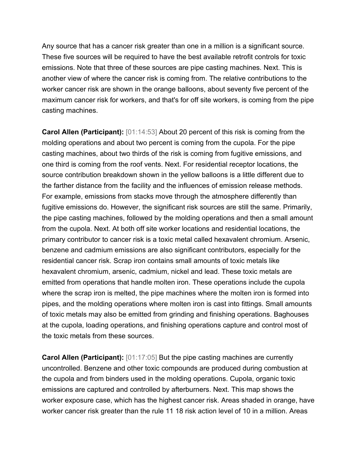Any source that has a cancer risk greater than one in a million is a significant source. These five sources will be required to have the best available retrofit controls for toxic emissions. Note that three of these sources are pipe casting machines. Next. This is another view of where the cancer risk is coming from. The relative contributions to the worker cancer risk are shown in the orange balloons, about seventy five percent of the maximum cancer risk for workers, and that's for off site workers, is coming from the pipe casting machines.

**Carol Allen (Participant):** [01:14:53] About 20 percent of this risk is coming from the molding operations and about two percent is coming from the cupola. For the pipe casting machines, about two thirds of the risk is coming from fugitive emissions, and one third is coming from the roof vents. Next. For residential receptor locations, the source contribution breakdown shown in the yellow balloons is a little different due to the farther distance from the facility and the influences of emission release methods. For example, emissions from stacks move through the atmosphere differently than fugitive emissions do. However, the significant risk sources are still the same. Primarily, the pipe casting machines, followed by the molding operations and then a small amount from the cupola. Next. At both off site worker locations and residential locations, the primary contributor to cancer risk is a toxic metal called hexavalent chromium. Arsenic, benzene and cadmium emissions are also significant contributors, especially for the residential cancer risk. Scrap iron contains small amounts of toxic metals like hexavalent chromium, arsenic, cadmium, nickel and lead. These toxic metals are emitted from operations that handle molten iron. These operations include the cupola where the scrap iron is melted, the pipe machines where the molten iron is formed into pipes, and the molding operations where molten iron is cast into fittings. Small amounts of toxic metals may also be emitted from grinding and finishing operations. Baghouses at the cupola, loading operations, and finishing operations capture and control most of the toxic metals from these sources.

**Carol Allen (Participant):** [01:17:05] But the pipe casting machines are currently uncontrolled. Benzene and other toxic compounds are produced during combustion at the cupola and from binders used in the molding operations. Cupola, organic toxic emissions are captured and controlled by afterburners. Next. This map shows the worker exposure case, which has the highest cancer risk. Areas shaded in orange, have worker cancer risk greater than the rule 11 18 risk action level of 10 in a million. Areas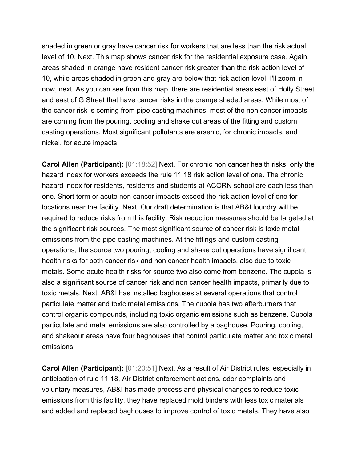shaded in green or gray have cancer risk for workers that are less than the risk actual level of 10. Next. This map shows cancer risk for the residential exposure case. Again, areas shaded in orange have resident cancer risk greater than the risk action level of 10, while areas shaded in green and gray are below that risk action level. I'll zoom in now, next. As you can see from this map, there are residential areas east of Holly Street and east of G Street that have cancer risks in the orange shaded areas. While most of the cancer risk is coming from pipe casting machines, most of the non cancer impacts are coming from the pouring, cooling and shake out areas of the fitting and custom casting operations. Most significant pollutants are arsenic, for chronic impacts, and nickel, for acute impacts.

**Carol Allen (Participant):** [01:18:52] Next. For chronic non cancer health risks, only the hazard index for workers exceeds the rule 11 18 risk action level of one. The chronic hazard index for residents, residents and students at ACORN school are each less than one. Short term or acute non cancer impacts exceed the risk action level of one for locations near the facility. Next. Our draft determination is that AB&I foundry will be required to reduce risks from this facility. Risk reduction measures should be targeted at the significant risk sources. The most significant source of cancer risk is toxic metal emissions from the pipe casting machines. At the fittings and custom casting operations, the source two pouring, cooling and shake out operations have significant health risks for both cancer risk and non cancer health impacts, also due to toxic metals. Some acute health risks for source two also come from benzene. The cupola is also a significant source of cancer risk and non cancer health impacts, primarily due to toxic metals. Next. AB&I has installed baghouses at several operations that control particulate matter and toxic metal emissions. The cupola has two afterburners that control organic compounds, including toxic organic emissions such as benzene. Cupola particulate and metal emissions are also controlled by a baghouse. Pouring, cooling, and shakeout areas have four baghouses that control particulate matter and toxic metal emissions.

**Carol Allen (Participant):** [01:20:51] Next. As a result of Air District rules, especially in anticipation of rule 11 18, Air District enforcement actions, odor complaints and voluntary measures, AB&I has made process and physical changes to reduce toxic emissions from this facility, they have replaced mold binders with less toxic materials and added and replaced baghouses to improve control of toxic metals. They have also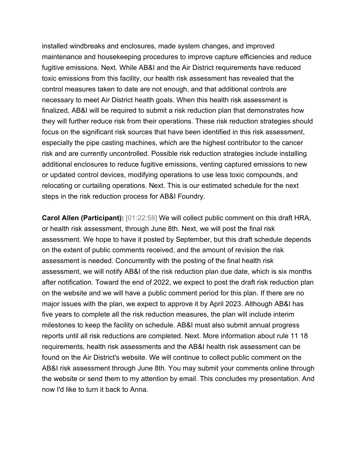installed windbreaks and enclosures, made system changes, and improved maintenance and housekeeping procedures to improve capture efficiencies and reduce fugitive emissions. Next. While AB&I and the Air District requirements have reduced toxic emissions from this facility, our health risk assessment has revealed that the control measures taken to date are not enough, and that additional controls are necessary to meet Air District health goals. When this health risk assessment is finalized, AB&I will be required to submit a risk reduction plan that demonstrates how they will further reduce risk from their operations. These risk reduction strategies should focus on the significant risk sources that have been identified in this risk assessment, especially the pipe casting machines, which are the highest contributor to the cancer risk and are currently uncontrolled. Possible risk reduction strategies include installing additional enclosures to reduce fugitive emissions, venting captured emissions to new or updated control devices, modifying operations to use less toxic compounds, and relocating or curtailing operations. Next. This is our estimated schedule for the next steps in the risk reduction process for AB&I Foundry.

**Carol Allen (Participant):** [01:22:58] We will collect public comment on this draft HRA, or health risk assessment, through June 8th. Next, we will post the final risk assessment. We hope to have it posted by September, but this draft schedule depends on the extent of public comments received, and the amount of revision the risk assessment is needed. Concurrently with the posting of the final health risk assessment, we will notify AB&I of the risk reduction plan due date, which is six months after notification. Toward the end of 2022, we expect to post the draft risk reduction plan on the website and we will have a public comment period for this plan. If there are no major issues with the plan, we expect to approve it by April 2023. Although AB&I has five years to complete all the risk reduction measures, the plan will include interim milestones to keep the facility on schedule. AB&I must also submit annual progress reports until all risk reductions are completed. Next. More information about rule 11 18 requirements, health risk assessments and the AB&I health risk assessment can be found on the Air District's website. We will continue to collect public comment on the AB&I risk assessment through June 8th. You may submit your comments online through the website or send them to my attention by email. This concludes my presentation. And now I'd like to turn it back to Anna.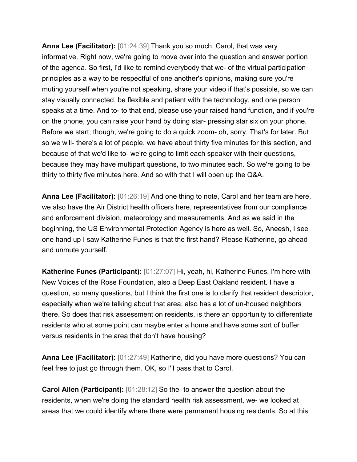**Anna Lee (Facilitator):** [01:24:39] Thank you so much, Carol, that was very informative. Right now, we're going to move over into the question and answer portion of the agenda. So first, I'd like to remind everybody that we- of the virtual participation principles as a way to be respectful of one another's opinions, making sure you're muting yourself when you're not speaking, share your video if that's possible, so we can stay visually connected, be flexible and patient with the technology, and one person speaks at a time. And to- to that end, please use your raised hand function, and if you're on the phone, you can raise your hand by doing star- pressing star six on your phone. Before we start, though, we're going to do a quick zoom- oh, sorry. That's for later. But so we will- there's a lot of people, we have about thirty five minutes for this section, and because of that we'd like to- we're going to limit each speaker with their questions, because they may have multipart questions, to two minutes each. So we're going to be thirty to thirty five minutes here. And so with that I will open up the Q&A.

**Anna Lee (Facilitator):** [01:26:19] And one thing to note, Carol and her team are here, we also have the Air District health officers here, representatives from our compliance and enforcement division, meteorology and measurements. And as we said in the beginning, the US Environmental Protection Agency is here as well. So, Aneesh, I see one hand up I saw Katherine Funes is that the first hand? Please Katherine, go ahead and unmute yourself.

**Katherine Funes (Participant):** [01:27:07] Hi, yeah, hi, Katherine Funes, I'm here with New Voices of the Rose Foundation, also a Deep East Oakland resident. I have a question, so many questions, but I think the first one is to clarify that resident descriptor, especially when we're talking about that area, also has a lot of un-housed neighbors there. So does that risk assessment on residents, is there an opportunity to differentiate residents who at some point can maybe enter a home and have some sort of buffer versus residents in the area that don't have housing?

**Anna Lee (Facilitator):** [01:27:49] Katherine, did you have more questions? You can feel free to just go through them. OK, so I'll pass that to Carol.

**Carol Allen (Participant):** [01:28:12] So the- to answer the question about the residents, when we're doing the standard health risk assessment, we- we looked at areas that we could identify where there were permanent housing residents. So at this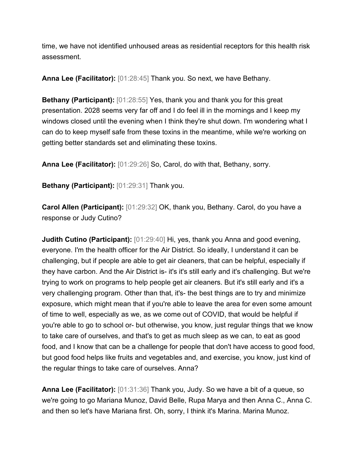time, we have not identified unhoused areas as residential receptors for this health risk assessment.

**Anna Lee (Facilitator):** [01:28:45] Thank you. So next, we have Bethany.

**Bethany (Participant):** [01:28:55] Yes, thank you and thank you for this great presentation. 2028 seems very far off and I do feel ill in the mornings and I keep my windows closed until the evening when I think they're shut down. I'm wondering what I can do to keep myself safe from these toxins in the meantime, while we're working on getting better standards set and eliminating these toxins.

**Anna Lee (Facilitator):** [01:29:26] So, Carol, do with that, Bethany, sorry.

**Bethany (Participant):** [01:29:31] Thank you.

**Carol Allen (Participant):** [01:29:32] OK, thank you, Bethany. Carol, do you have a response or Judy Cutino?

**Judith Cutino (Participant):** [01:29:40] Hi, yes, thank you Anna and good evening, everyone. I'm the health officer for the Air District. So ideally, I understand it can be challenging, but if people are able to get air cleaners, that can be helpful, especially if they have carbon. And the Air District is- it's it's still early and it's challenging. But we're trying to work on programs to help people get air cleaners. But it's still early and it's a very challenging program. Other than that, it's- the best things are to try and minimize exposure, which might mean that if you're able to leave the area for even some amount of time to well, especially as we, as we come out of COVID, that would be helpful if you're able to go to school or- but otherwise, you know, just regular things that we know to take care of ourselves, and that's to get as much sleep as we can, to eat as good food, and I know that can be a challenge for people that don't have access to good food, but good food helps like fruits and vegetables and, and exercise, you know, just kind of the regular things to take care of ourselves. Anna?

**Anna Lee (Facilitator):** [01:31:36] Thank you, Judy. So we have a bit of a queue, so we're going to go Mariana Munoz, David Belle, Rupa Marya and then Anna C., Anna C. and then so let's have Mariana first. Oh, sorry, I think it's Marina. Marina Munoz.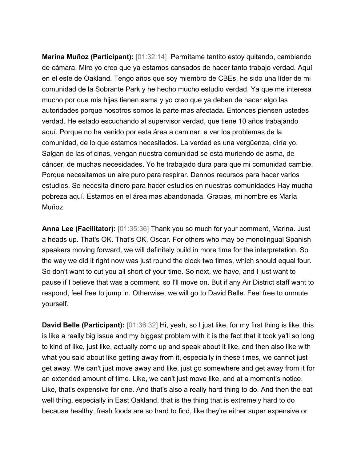**Marina Muñoz (Participant):** [01:32:14] Permítame tantito estoy quitando, cambiando de cámara. Mire yo creo que ya estamos cansados de hacer tanto trabajo verdad. Aquí en el este de Oakland. Tengo años que soy miembro de CBEs, he sido una líder de mi comunidad de la Sobrante Park y he hecho mucho estudio verdad. Ya que me interesa mucho por que mis hijas tienen asma y yo creo que ya deben de hacer algo las autoridades porque nosotros somos la parte mas afectada. Entonces piensen ustedes verdad. He estado escuchando al supervisor verdad, que tiene 10 años trabajando aquí. Porque no ha venido por esta área a caminar, a ver los problemas de la comunidad, de lo que estamos necesitados. La verdad es una vergüenza, diría yo. Salgan de las oficinas, vengan nuestra comunidad se está muriendo de asma, de cáncer, de muchas necesidades. Yo he trabajado dura para que mi comunidad cambie. Porque necesitamos un aire puro para respirar. Dennos recursos para hacer varios estudios. Se necesita dinero para hacer estudios en nuestras comunidades Hay mucha pobreza aquí. Estamos en el área mas abandonada. Gracias, mi nombre es María Muñoz.

**Anna Lee (Facilitator):** [01:35:36] Thank you so much for your comment, Marina. Just a heads up. That's OK. That's OK, Oscar. For others who may be monolingual Spanish speakers moving forward, we will definitely build in more time for the interpretation. So the way we did it right now was just round the clock two times, which should equal four. So don't want to cut you all short of your time. So next, we have, and I just want to pause if I believe that was a comment, so I'll move on. But if any Air District staff want to respond, feel free to jump in. Otherwise, we will go to David Belle. Feel free to unmute yourself.

**David Belle (Participant):** [01:36:32] Hi, yeah, so I just like, for my first thing is like, this is like a really big issue and my biggest problem with it is the fact that it took ya'll so long to kind of like, just like, actually come up and speak about it like, and then also like with what you said about like getting away from it, especially in these times, we cannot just get away. We can't just move away and like, just go somewhere and get away from it for an extended amount of time. Like, we can't just move like, and at a moment's notice. Like, that's expensive for one. And that's also a really hard thing to do. And then the eat well thing, especially in East Oakland, that is the thing that is extremely hard to do because healthy, fresh foods are so hard to find, like they're either super expensive or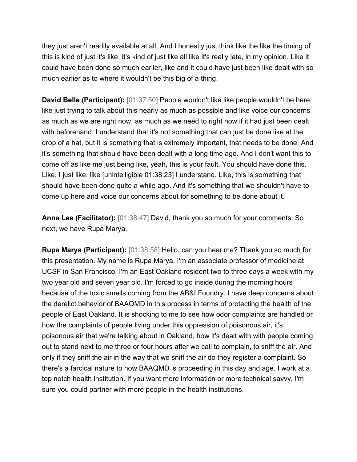they just aren't readily available at all. And I honestly just think like the like the timing of this is kind of just it's like, it's kind of just like all like it's really late, in my opinion. Like it could have been done so much earlier, like and it could have just been like dealt with so much earlier as to where it wouldn't be this big of a thing.

**David Belle (Participant):** [01:37:50] People wouldn't like like people wouldn't be here, like just trying to talk about this nearly as much as possible and like voice our concerns as much as we are right now, as much as we need to right now if it had just been dealt with beforehand. I understand that it's not something that can just be done like at the drop of a hat, but it is something that is extremely important, that needs to be done. And it's something that should have been dealt with a long time ago. And I don't want this to come off as like me just being like, yeah, this is your fault. You should have done this. Like, I just like, like [unintelligible 01:38:23] I understand. Like, this is something that should have been done quite a while ago. And it's something that we shouldn't have to come up here and voice our concerns about for something to be done about it.

**Anna Lee (Facilitator):** [01:38:47] David, thank you so much for your comments. So next, we have Rupa Marya.

**Rupa Marya (Participant):** [01:38:58] Hello, can you hear me? Thank you so much for this presentation. My name is Rupa Marya. I'm an associate professor of medicine at UCSF in San Francisco. I'm an East Oakland resident two to three days a week with my two year old and seven year old. I'm forced to go inside during the morning hours because of the toxic smells coming from the AB&I Foundry. I have deep concerns about the derelict behavior of BAAQMD in this process in terms of protecting the health of the people of East Oakland. It is shocking to me to see how odor complaints are handled or how the complaints of people living under this oppression of poisonous air, it's poisonous air that we're talking about in Oakland, how it's dealt with with people coming out to stand next to me three or four hours after we call to complain, to sniff the air. And only if they sniff the air in the way that we sniff the air do they register a complaint. So there's a farcical nature to how BAAQMD is proceeding in this day and age. I work at a top notch health institution. If you want more information or more technical savvy, I'm sure you could partner with more people in the health institutions.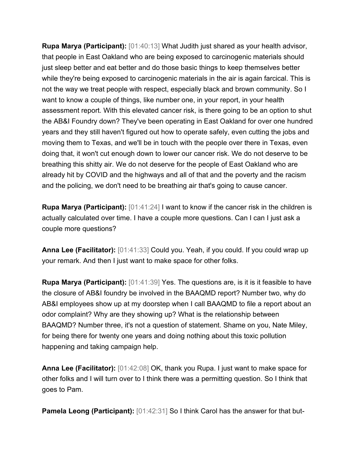**Rupa Marya (Participant):** [01:40:13] What Judith just shared as your health advisor, that people in East Oakland who are being exposed to carcinogenic materials should just sleep better and eat better and do those basic things to keep themselves better while they're being exposed to carcinogenic materials in the air is again farcical. This is not the way we treat people with respect, especially black and brown community. So I want to know a couple of things, like number one, in your report, in your health assessment report. With this elevated cancer risk, is there going to be an option to shut the AB&I Foundry down? They've been operating in East Oakland for over one hundred years and they still haven't figured out how to operate safely, even cutting the jobs and moving them to Texas, and we'll be in touch with the people over there in Texas, even doing that, it won't cut enough down to lower our cancer risk. We do not deserve to be breathing this shitty air. We do not deserve for the people of East Oakland who are already hit by COVID and the highways and all of that and the poverty and the racism and the policing, we don't need to be breathing air that's going to cause cancer.

**Rupa Marya (Participant):** [01:41:24] I want to know if the cancer risk in the children is actually calculated over time. I have a couple more questions. Can I can I just ask a couple more questions?

**Anna Lee (Facilitator):** [01:41:33] Could you. Yeah, if you could. If you could wrap up your remark. And then I just want to make space for other folks.

**Rupa Marya (Participant):** [01:41:39] Yes. The questions are, is it is it feasible to have the closure of AB&I foundry be involved in the BAAQMD report? Number two, why do AB&I employees show up at my doorstep when I call BAAQMD to file a report about an odor complaint? Why are they showing up? What is the relationship between BAAQMD? Number three, it's not a question of statement. Shame on you, Nate Miley, for being there for twenty one years and doing nothing about this toxic pollution happening and taking campaign help.

**Anna Lee (Facilitator):** [01:42:08] OK, thank you Rupa. I just want to make space for other folks and I will turn over to I think there was a permitting question. So I think that goes to Pam.

**Pamela Leong (Participant):** [01:42:31] So I think Carol has the answer for that but-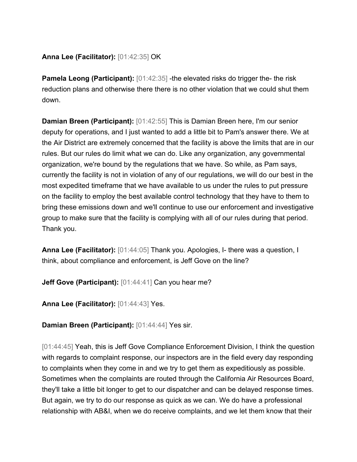## **Anna Lee (Facilitator):** [01:42:35] OK

**Pamela Leong (Participant):** [01:42:35] -the elevated risks do trigger the- the risk reduction plans and otherwise there there is no other violation that we could shut them down.

**Damian Breen (Participant):** [01:42:55] This is Damian Breen here, I'm our senior deputy for operations, and I just wanted to add a little bit to Pam's answer there. We at the Air District are extremely concerned that the facility is above the limits that are in our rules. But our rules do limit what we can do. Like any organization, any governmental organization, we're bound by the regulations that we have. So while, as Pam says, currently the facility is not in violation of any of our regulations, we will do our best in the most expedited timeframe that we have available to us under the rules to put pressure on the facility to employ the best available control technology that they have to them to bring these emissions down and we'll continue to use our enforcement and investigative group to make sure that the facility is complying with all of our rules during that period. Thank you.

**Anna Lee (Facilitator):** [01:44:05] Thank you. Apologies, I- there was a question, I think, about compliance and enforcement, is Jeff Gove on the line?

**Jeff Gove (Participant):** [01:44:41] Can you hear me?

**Anna Lee (Facilitator):** [01:44:43] Yes.

**Damian Breen (Participant):** [01:44:44] Yes sir.

[01:44:45] Yeah, this is Jeff Gove Compliance Enforcement Division, I think the question with regards to complaint response, our inspectors are in the field every day responding to complaints when they come in and we try to get them as expeditiously as possible. Sometimes when the complaints are routed through the California Air Resources Board, they'll take a little bit longer to get to our dispatcher and can be delayed response times. But again, we try to do our response as quick as we can. We do have a professional relationship with AB&I, when we do receive complaints, and we let them know that their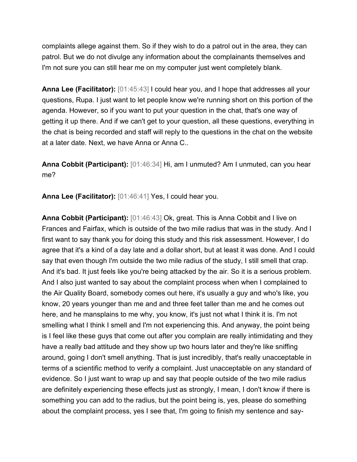complaints allege against them. So if they wish to do a patrol out in the area, they can patrol. But we do not divulge any information about the complainants themselves and I'm not sure you can still hear me on my computer just went completely blank.

**Anna Lee (Facilitator):** [01:45:43] I could hear you, and I hope that addresses all your questions, Rupa. I just want to let people know we're running short on this portion of the agenda. However, so if you want to put your question in the chat, that's one way of getting it up there. And if we can't get to your question, all these questions, everything in the chat is being recorded and staff will reply to the questions in the chat on the website at a later date. Next, we have Anna or Anna C..

**Anna Cobbit (Participant):** [01:46:34] Hi, am I unmuted? Am I unmuted, can you hear me?

**Anna Lee (Facilitator):** [01:46:41] Yes, I could hear you.

**Anna Cobbit (Participant):** [01:46:43] Ok, great. This is Anna Cobbit and I live on Frances and Fairfax, which is outside of the two mile radius that was in the study. And I first want to say thank you for doing this study and this risk assessment. However, I do agree that it's a kind of a day late and a dollar short, but at least it was done. And I could say that even though I'm outside the two mile radius of the study, I still smell that crap. And it's bad. It just feels like you're being attacked by the air. So it is a serious problem. And I also just wanted to say about the complaint process when when I complained to the Air Quality Board, somebody comes out here, it's usually a guy and who's like, you know, 20 years younger than me and and three feet taller than me and he comes out here, and he mansplains to me why, you know, it's just not what I think it is. I'm not smelling what I think I smell and I'm not experiencing this. And anyway, the point being is I feel like these guys that come out after you complain are really intimidating and they have a really bad attitude and they show up two hours later and they're like sniffing around, going I don't smell anything. That is just incredibly, that's really unacceptable in terms of a scientific method to verify a complaint. Just unacceptable on any standard of evidence. So I just want to wrap up and say that people outside of the two mile radius are definitely experiencing these effects just as strongly, I mean, I don't know if there is something you can add to the radius, but the point being is, yes, please do something about the complaint process, yes I see that, I'm going to finish my sentence and say-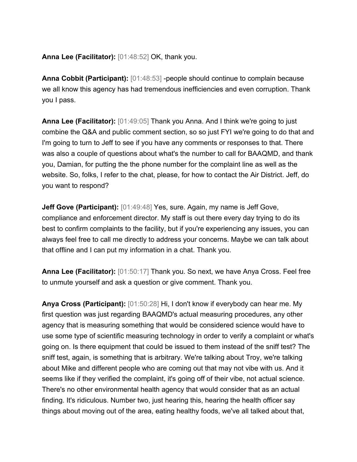### **Anna Lee (Facilitator):** [01:48:52] OK, thank you.

**Anna Cobbit (Participant):** [01:48:53] -people should continue to complain because we all know this agency has had tremendous inefficiencies and even corruption. Thank you I pass.

**Anna Lee (Facilitator):** [01:49:05] Thank you Anna. And I think we're going to just combine the Q&A and public comment section, so so just FYI we're going to do that and I'm going to turn to Jeff to see if you have any comments or responses to that. There was also a couple of questions about what's the number to call for BAAQMD, and thank you, Damian, for putting the the phone number for the complaint line as well as the website. So, folks, I refer to the chat, please, for how to contact the Air District. Jeff, do you want to respond?

**Jeff Gove (Participant):** [01:49:48] Yes, sure. Again, my name is Jeff Gove, compliance and enforcement director. My staff is out there every day trying to do its best to confirm complaints to the facility, but if you're experiencing any issues, you can always feel free to call me directly to address your concerns. Maybe we can talk about that offline and I can put my information in a chat. Thank you.

**Anna Lee (Facilitator):** [01:50:17] Thank you. So next, we have Anya Cross. Feel free to unmute yourself and ask a question or give comment. Thank you.

**Anya Cross (Participant):** [01:50:28] Hi, I don't know if everybody can hear me. My first question was just regarding BAAQMD's actual measuring procedures, any other agency that is measuring something that would be considered science would have to use some type of scientific measuring technology in order to verify a complaint or what's going on. Is there equipment that could be issued to them instead of the sniff test? The sniff test, again, is something that is arbitrary. We're talking about Troy, we're talking about Mike and different people who are coming out that may not vibe with us. And it seems like if they verified the complaint, it's going off of their vibe, not actual science. There's no other environmental health agency that would consider that as an actual finding. It's ridiculous. Number two, just hearing this, hearing the health officer say things about moving out of the area, eating healthy foods, we've all talked about that,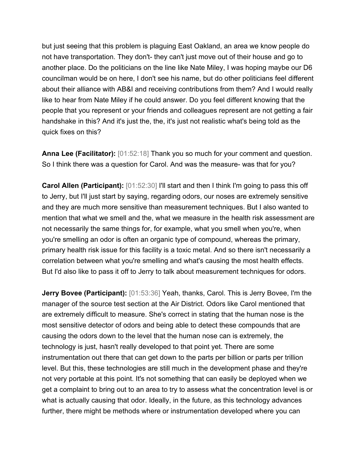but just seeing that this problem is plaguing East Oakland, an area we know people do not have transportation. They don't- they can't just move out of their house and go to another place. Do the politicians on the line like Nate Miley, I was hoping maybe our D6 councilman would be on here, I don't see his name, but do other politicians feel different about their alliance with AB&I and receiving contributions from them? And I would really like to hear from Nate Miley if he could answer. Do you feel different knowing that the people that you represent or your friends and colleagues represent are not getting a fair handshake in this? And it's just the, the, it's just not realistic what's being told as the quick fixes on this?

**Anna Lee (Facilitator):** [01:52:18] Thank you so much for your comment and question. So I think there was a question for Carol. And was the measure- was that for you?

**Carol Allen (Participant):** [01:52:30] I'll start and then I think I'm going to pass this off to Jerry, but I'll just start by saying, regarding odors, our noses are extremely sensitive and they are much more sensitive than measurement techniques. But I also wanted to mention that what we smell and the, what we measure in the health risk assessment are not necessarily the same things for, for example, what you smell when you're, when you're smelling an odor is often an organic type of compound, whereas the primary, primary health risk issue for this facility is a toxic metal. And so there isn't necessarily a correlation between what you're smelling and what's causing the most health effects. But I'd also like to pass it off to Jerry to talk about measurement techniques for odors.

**Jerry Bovee (Participant):** [01:53:36] Yeah, thanks, Carol. This is Jerry Bovee, I'm the manager of the source test section at the Air District. Odors like Carol mentioned that are extremely difficult to measure. She's correct in stating that the human nose is the most sensitive detector of odors and being able to detect these compounds that are causing the odors down to the level that the human nose can is extremely, the technology is just, hasn't really developed to that point yet. There are some instrumentation out there that can get down to the parts per billion or parts per trillion level. But this, these technologies are still much in the development phase and they're not very portable at this point. It's not something that can easily be deployed when we get a complaint to bring out to an area to try to assess what the concentration level is or what is actually causing that odor. Ideally, in the future, as this technology advances further, there might be methods where or instrumentation developed where you can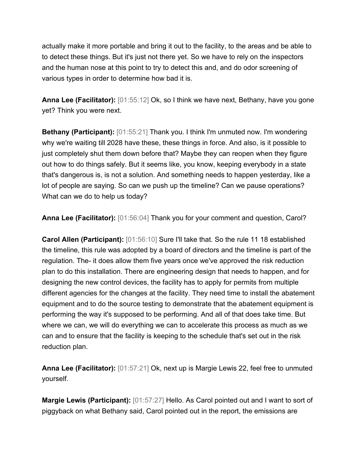actually make it more portable and bring it out to the facility, to the areas and be able to to detect these things. But it's just not there yet. So we have to rely on the inspectors and the human nose at this point to try to detect this and, and do odor screening of various types in order to determine how bad it is.

**Anna Lee (Facilitator):** [01:55:12] Ok, so I think we have next, Bethany, have you gone yet? Think you were next.

**Bethany (Participant):** [01:55:21] Thank you. I think I'm unmuted now. I'm wondering why we're waiting till 2028 have these, these things in force. And also, is it possible to just completely shut them down before that? Maybe they can reopen when they figure out how to do things safely. But it seems like, you know, keeping everybody in a state that's dangerous is, is not a solution. And something needs to happen yesterday, like a lot of people are saying. So can we push up the timeline? Can we pause operations? What can we do to help us today?

**Anna Lee (Facilitator):** [01:56:04] Thank you for your comment and question, Carol?

**Carol Allen (Participant):** [01:56:10] Sure I'll take that. So the rule 11 18 established the timeline, this rule was adopted by a board of directors and the timeline is part of the regulation. The- it does allow them five years once we've approved the risk reduction plan to do this installation. There are engineering design that needs to happen, and for designing the new control devices, the facility has to apply for permits from multiple different agencies for the changes at the facility. They need time to install the abatement equipment and to do the source testing to demonstrate that the abatement equipment is performing the way it's supposed to be performing. And all of that does take time. But where we can, we will do everything we can to accelerate this process as much as we can and to ensure that the facility is keeping to the schedule that's set out in the risk reduction plan.

**Anna Lee (Facilitator):** [01:57:21] Ok, next up is Margie Lewis 22, feel free to unmuted yourself.

**Margie Lewis (Participant):** [01:57:27] Hello. As Carol pointed out and I want to sort of piggyback on what Bethany said, Carol pointed out in the report, the emissions are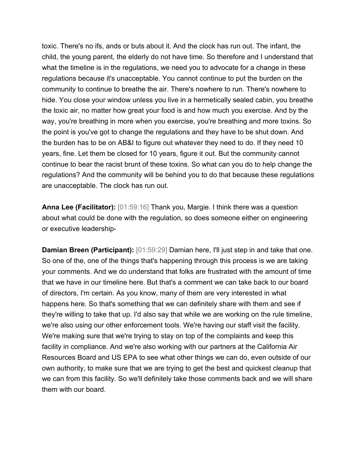toxic. There's no ifs, ands or buts about it. And the clock has run out. The infant, the child, the young parent, the elderly do not have time. So therefore and I understand that what the timeline is in the regulations, we need you to advocate for a change in these regulations because it's unacceptable. You cannot continue to put the burden on the community to continue to breathe the air. There's nowhere to run. There's nowhere to hide. You close your window unless you live in a hermetically sealed cabin, you breathe the toxic air, no matter how great your food is and how much you exercise. And by the way, you're breathing in more when you exercise, you're breathing and more toxins. So the point is you've got to change the regulations and they have to be shut down. And the burden has to be on AB&I to figure out whatever they need to do. If they need 10 years, fine. Let them be closed for 10 years, figure it out. But the community cannot continue to bear the racist brunt of these toxins. So what can you do to help change the regulations? And the community will be behind you to do that because these regulations are unacceptable. The clock has run out.

**Anna Lee (Facilitator):** [01:59:16] Thank you, Margie. I think there was a question about what could be done with the regulation, so does someone either on engineering or executive leadership-

**Damian Breen (Participant):** [01:59:29] Damian here, I'll just step in and take that one. So one of the, one of the things that's happening through this process is we are taking your comments. And we do understand that folks are frustrated with the amount of time that we have in our timeline here. But that's a comment we can take back to our board of directors, I'm certain. As you know, many of them are very interested in what happens here. So that's something that we can definitely share with them and see if they're willing to take that up. I'd also say that while we are working on the rule timeline, we're also using our other enforcement tools. We're having our staff visit the facility. We're making sure that we're trying to stay on top of the complaints and keep this facility in compliance. And we're also working with our partners at the California Air Resources Board and US EPA to see what other things we can do, even outside of our own authority, to make sure that we are trying to get the best and quickest cleanup that we can from this facility. So we'll definitely take those comments back and we will share them with our board.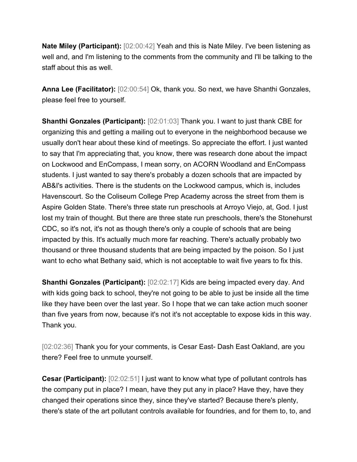**Nate Miley (Participant):** [02:00:42] Yeah and this is Nate Miley. I've been listening as well and, and I'm listening to the comments from the community and I'll be talking to the staff about this as well.

**Anna Lee (Facilitator):** [02:00:54] Ok, thank you. So next, we have Shanthi Gonzales, please feel free to yourself.

**Shanthi Gonzales (Participant):** [02:01:03] Thank you. I want to just thank CBE for organizing this and getting a mailing out to everyone in the neighborhood because we usually don't hear about these kind of meetings. So appreciate the effort. I just wanted to say that I'm appreciating that, you know, there was research done about the impact on Lockwood and EnCompass, I mean sorry, on ACORN Woodland and EnCompass students. I just wanted to say there's probably a dozen schools that are impacted by AB&I's activities. There is the students on the Lockwood campus, which is, includes Havenscourt. So the Coliseum College Prep Academy across the street from them is Aspire Golden State. There's three state run preschools at Arroyo Viejo, at, God. I just lost my train of thought. But there are three state run preschools, there's the Stonehurst CDC, so it's not, it's not as though there's only a couple of schools that are being impacted by this. It's actually much more far reaching. There's actually probably two thousand or three thousand students that are being impacted by the poison. So I just want to echo what Bethany said, which is not acceptable to wait five years to fix this.

**Shanthi Gonzales (Participant):** [02:02:17] Kids are being impacted every day. And with kids going back to school, they're not going to be able to just be inside all the time like they have been over the last year. So I hope that we can take action much sooner than five years from now, because it's not it's not acceptable to expose kids in this way. Thank you.

[02:02:36] Thank you for your comments, is Cesar East- Dash East Oakland, are you there? Feel free to unmute yourself.

**Cesar (Participant):**  $[02:02:51]$  I just want to know what type of pollutant controls has the company put in place? I mean, have they put any in place? Have they, have they changed their operations since they, since they've started? Because there's plenty, there's state of the art pollutant controls available for foundries, and for them to, to, and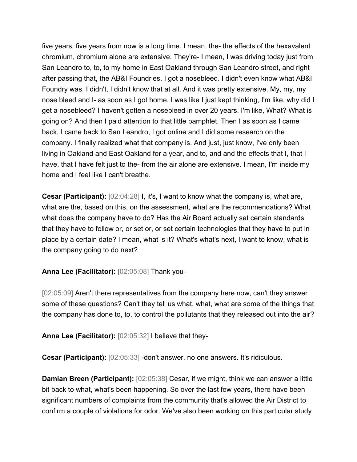five years, five years from now is a long time. I mean, the- the effects of the hexavalent chromium, chromium alone are extensive. They're- I mean, I was driving today just from San Leandro to, to, to my home in East Oakland through San Leandro street, and right after passing that, the AB&I Foundries, I got a nosebleed. I didn't even know what AB&I Foundry was. I didn't, I didn't know that at all. And it was pretty extensive. My, my, my nose bleed and I- as soon as I got home, I was like I just kept thinking, I'm like, why did I get a nosebleed? I haven't gotten a nosebleed in over 20 years. I'm like, What? What is going on? And then I paid attention to that little pamphlet. Then I as soon as I came back, I came back to San Leandro, I got online and I did some research on the company. I finally realized what that company is. And just, just know, I've only been living in Oakland and East Oakland for a year, and to, and and the effects that I, that I have, that I have felt just to the- from the air alone are extensive. I mean, I'm inside my home and I feel like I can't breathe.

**Cesar (Participant):** [02:04:28] I, it's, I want to know what the company is, what are, what are the, based on this, on the assessment, what are the recommendations? What what does the company have to do? Has the Air Board actually set certain standards that they have to follow or, or set or, or set certain technologies that they have to put in place by a certain date? I mean, what is it? What's what's next, I want to know, what is the company going to do next?

### **Anna Lee (Facilitator):** [02:05:08] Thank you-

[02:05:09] Aren't there representatives from the company here now, can't they answer some of these questions? Can't they tell us what, what, what are some of the things that the company has done to, to, to control the pollutants that they released out into the air?

**Anna Lee (Facilitator):** [02:05:32] I believe that they-

**Cesar (Participant):** [02:05:33] -don't answer, no one answers. It's ridiculous.

**Damian Breen (Participant):** [02:05:38] Cesar, if we might, think we can answer a little bit back to what, what's been happening. So over the last few years, there have been significant numbers of complaints from the community that's allowed the Air District to confirm a couple of violations for odor. We've also been working on this particular study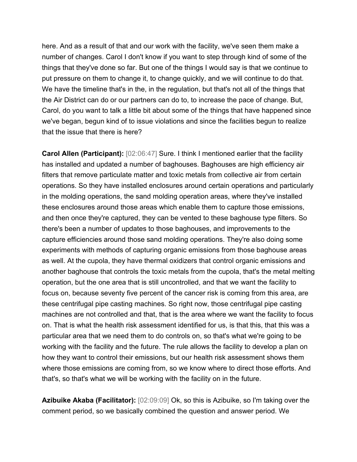here. And as a result of that and our work with the facility, we've seen them make a number of changes. Carol I don't know if you want to step through kind of some of the things that they've done so far. But one of the things I would say is that we continue to put pressure on them to change it, to change quickly, and we will continue to do that. We have the timeline that's in the, in the regulation, but that's not all of the things that the Air District can do or our partners can do to, to increase the pace of change. But, Carol, do you want to talk a little bit about some of the things that have happened since we've began, begun kind of to issue violations and since the facilities begun to realize that the issue that there is here?

**Carol Allen (Participant):** [02:06:47] Sure. I think I mentioned earlier that the facility has installed and updated a number of baghouses. Baghouses are high efficiency air filters that remove particulate matter and toxic metals from collective air from certain operations. So they have installed enclosures around certain operations and particularly in the molding operations, the sand molding operation areas, where they've installed these enclosures around those areas which enable them to capture those emissions, and then once they're captured, they can be vented to these baghouse type filters. So there's been a number of updates to those baghouses, and improvements to the capture efficiencies around those sand molding operations. They're also doing some experiments with methods of capturing organic emissions from those baghouse areas as well. At the cupola, they have thermal oxidizers that control organic emissions and another baghouse that controls the toxic metals from the cupola, that's the metal melting operation, but the one area that is still uncontrolled, and that we want the facility to focus on, because seventy five percent of the cancer risk is coming from this area, are these centrifugal pipe casting machines. So right now, those centrifugal pipe casting machines are not controlled and that, that is the area where we want the facility to focus on. That is what the health risk assessment identified for us, is that this, that this was a particular area that we need them to do controls on, so that's what we're going to be working with the facility and the future. The rule allows the facility to develop a plan on how they want to control their emissions, but our health risk assessment shows them where those emissions are coming from, so we know where to direct those efforts. And that's, so that's what we will be working with the facility on in the future.

**Azibuike Akaba (Facilitator):** [02:09:09] Ok, so this is Azibuike, so I'm taking over the comment period, so we basically combined the question and answer period. We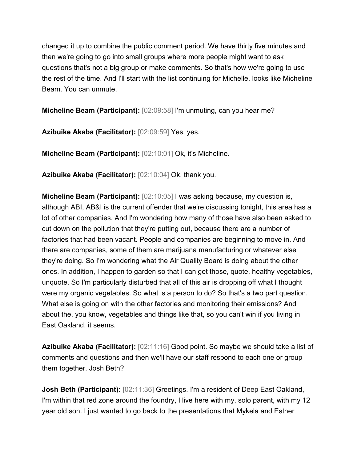changed it up to combine the public comment period. We have thirty five minutes and then we're going to go into small groups where more people might want to ask questions that's not a big group or make comments. So that's how we're going to use the rest of the time. And I'll start with the list continuing for Michelle, looks like Micheline Beam. You can unmute.

**Micheline Beam (Participant):** [02:09:58] I'm unmuting, can you hear me?

**Azibuike Akaba (Facilitator):** [02:09:59] Yes, yes.

**Micheline Beam (Participant):** [02:10:01] Ok, it's Micheline.

**Azibuike Akaba (Facilitator):** [02:10:04] Ok, thank you.

**Micheline Beam (Participant):** [02:10:05] I was asking because, my question is, although ABI, AB&I is the current offender that we're discussing tonight, this area has a lot of other companies. And I'm wondering how many of those have also been asked to cut down on the pollution that they're putting out, because there are a number of factories that had been vacant. People and companies are beginning to move in. And there are companies, some of them are marijuana manufacturing or whatever else they're doing. So I'm wondering what the Air Quality Board is doing about the other ones. In addition, I happen to garden so that I can get those, quote, healthy vegetables, unquote. So I'm particularly disturbed that all of this air is dropping off what I thought were my organic vegetables. So what is a person to do? So that's a two part question. What else is going on with the other factories and monitoring their emissions? And about the, you know, vegetables and things like that, so you can't win if you living in East Oakland, it seems.

**Azibuike Akaba (Facilitator):** [02:11:16] Good point. So maybe we should take a list of comments and questions and then we'll have our staff respond to each one or group them together. Josh Beth?

**Josh Beth (Participant):** [02:11:36] Greetings. I'm a resident of Deep East Oakland, I'm within that red zone around the foundry, I live here with my, solo parent, with my 12 year old son. I just wanted to go back to the presentations that Mykela and Esther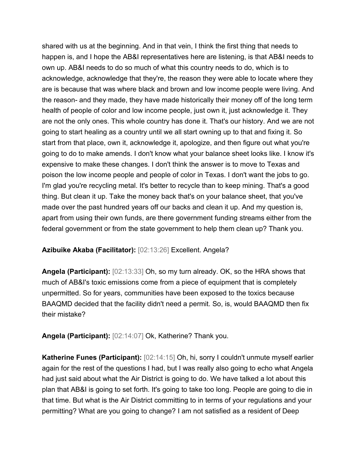shared with us at the beginning. And in that vein, I think the first thing that needs to happen is, and I hope the AB&I representatives here are listening, is that AB&I needs to own up. AB&I needs to do so much of what this country needs to do, which is to acknowledge, acknowledge that they're, the reason they were able to locate where they are is because that was where black and brown and low income people were living. And the reason- and they made, they have made historically their money off of the long term health of people of color and low income people, just own it, just acknowledge it. They are not the only ones. This whole country has done it. That's our history. And we are not going to start healing as a country until we all start owning up to that and fixing it. So start from that place, own it, acknowledge it, apologize, and then figure out what you're going to do to make amends. I don't know what your balance sheet looks like. I know it's expensive to make these changes. I don't think the answer is to move to Texas and poison the low income people and people of color in Texas. I don't want the jobs to go. I'm glad you're recycling metal. It's better to recycle than to keep mining. That's a good thing. But clean it up. Take the money back that's on your balance sheet, that you've made over the past hundred years off our backs and clean it up. And my question is, apart from using their own funds, are there government funding streams either from the federal government or from the state government to help them clean up? Thank you.

### **Azibuike Akaba (Facilitator):** [02:13:26] Excellent. Angela?

**Angela (Participant):** [02:13:33] Oh, so my turn already. OK, so the HRA shows that much of AB&I's toxic emissions come from a piece of equipment that is completely unpermitted. So for years, communities have been exposed to the toxics because BAAQMD decided that the facility didn't need a permit. So, is, would BAAQMD then fix their mistake?

**Angela (Participant):** [02:14:07] Ok, Katherine? Thank you.

**Katherine Funes (Participant):** [02:14:15] Oh, hi, sorry I couldn't unmute myself earlier again for the rest of the questions I had, but I was really also going to echo what Angela had just said about what the Air District is going to do. We have talked a lot about this plan that AB&I is going to set forth. It's going to take too long. People are going to die in that time. But what is the Air District committing to in terms of your regulations and your permitting? What are you going to change? I am not satisfied as a resident of Deep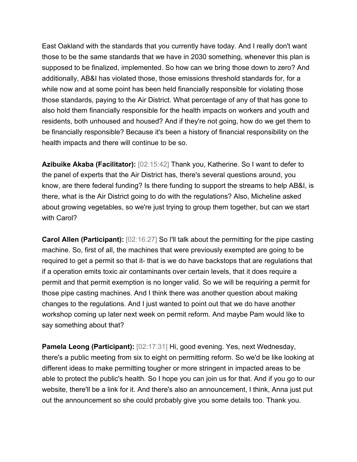East Oakland with the standards that you currently have today. And I really don't want those to be the same standards that we have in 2030 something, whenever this plan is supposed to be finalized, implemented. So how can we bring those down to zero? And additionally, AB&I has violated those, those emissions threshold standards for, for a while now and at some point has been held financially responsible for violating those those standards, paying to the Air District. What percentage of any of that has gone to also hold them financially responsible for the health impacts on workers and youth and residents, both unhoused and housed? And if they're not going, how do we get them to be financially responsible? Because it's been a history of financial responsibility on the health impacts and there will continue to be so.

**Azibuike Akaba (Facilitator):** [02:15:42] Thank you, Katherine. So I want to defer to the panel of experts that the Air District has, there's several questions around, you know, are there federal funding? Is there funding to support the streams to help AB&I, is there, what is the Air District going to do with the regulations? Also, Micheline asked about growing vegetables, so we're just trying to group them together, but can we start with Carol?

**Carol Allen (Participant):** [02:16:27] So I'll talk about the permitting for the pipe casting machine. So, first of all, the machines that were previously exempted are going to be required to get a permit so that it- that is we do have backstops that are regulations that if a operation emits toxic air contaminants over certain levels, that it does require a permit and that permit exemption is no longer valid. So we will be requiring a permit for those pipe casting machines. And I think there was another question about making changes to the regulations. And I just wanted to point out that we do have another workshop coming up later next week on permit reform. And maybe Pam would like to say something about that?

**Pamela Leong (Participant):** [02:17:31] Hi, good evening. Yes, next Wednesday, there's a public meeting from six to eight on permitting reform. So we'd be like looking at different ideas to make permitting tougher or more stringent in impacted areas to be able to protect the public's health. So I hope you can join us for that. And if you go to our website, there'll be a link for it. And there's also an announcement, I think, Anna just put out the announcement so she could probably give you some details too. Thank you.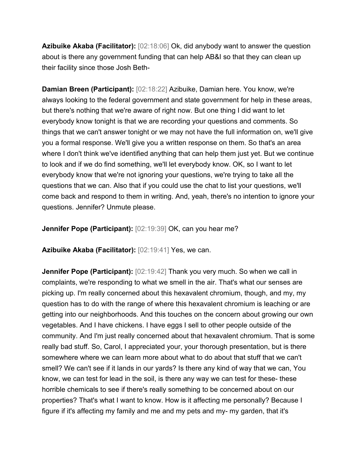**Azibuike Akaba (Facilitator):** [02:18:06] Ok, did anybody want to answer the question about is there any government funding that can help AB&I so that they can clean up their facility since those Josh Beth-

**Damian Breen (Participant):** [02:18:22] Azibuike, Damian here. You know, we're always looking to the federal government and state government for help in these areas, but there's nothing that we're aware of right now. But one thing I did want to let everybody know tonight is that we are recording your questions and comments. So things that we can't answer tonight or we may not have the full information on, we'll give you a formal response. We'll give you a written response on them. So that's an area where I don't think we've identified anything that can help them just yet. But we continue to look and if we do find something, we'll let everybody know. OK, so I want to let everybody know that we're not ignoring your questions, we're trying to take all the questions that we can. Also that if you could use the chat to list your questions, we'll come back and respond to them in writing. And, yeah, there's no intention to ignore your questions. Jennifer? Unmute please.

**Jennifer Pope (Participant):** [02:19:39] OK, can you hear me?

**Azibuike Akaba (Facilitator):** [02:19:41] Yes, we can.

**Jennifer Pope (Participant):** [02:19:42] Thank you very much. So when we call in complaints, we're responding to what we smell in the air. That's what our senses are picking up. I'm really concerned about this hexavalent chromium, though, and my, my question has to do with the range of where this hexavalent chromium is leaching or are getting into our neighborhoods. And this touches on the concern about growing our own vegetables. And I have chickens. I have eggs I sell to other people outside of the community. And I'm just really concerned about that hexavalent chromium. That is some really bad stuff. So, Carol, I appreciated your, your thorough presentation, but is there somewhere where we can learn more about what to do about that stuff that we can't smell? We can't see if it lands in our yards? Is there any kind of way that we can, You know, we can test for lead in the soil, is there any way we can test for these- these horrible chemicals to see if there's really something to be concerned about on our properties? That's what I want to know. How is it affecting me personally? Because I figure if it's affecting my family and me and my pets and my- my garden, that it's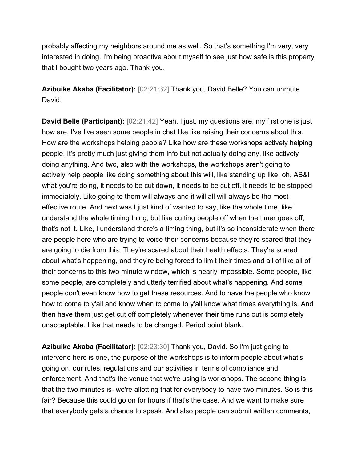probably affecting my neighbors around me as well. So that's something I'm very, very interested in doing. I'm being proactive about myself to see just how safe is this property that I bought two years ago. Thank you.

**Azibuike Akaba (Facilitator):** [02:21:32] Thank you, David Belle? You can unmute David.

**David Belle (Participant):** [02:21:42] Yeah, I just, my questions are, my first one is just how are, I've I've seen some people in chat like like raising their concerns about this. How are the workshops helping people? Like how are these workshops actively helping people. It's pretty much just giving them info but not actually doing any, like actively doing anything. And two, also with the workshops, the workshops aren't going to actively help people like doing something about this will, like standing up like, oh, AB&I what you're doing, it needs to be cut down, it needs to be cut off, it needs to be stopped immediately. Like going to them will always and it will all will always be the most effective route. And next was I just kind of wanted to say, like the whole time, like I understand the whole timing thing, but like cutting people off when the timer goes off, that's not it. Like, I understand there's a timing thing, but it's so inconsiderate when there are people here who are trying to voice their concerns because they're scared that they are going to die from this. They're scared about their health effects. They're scared about what's happening, and they're being forced to limit their times and all of like all of their concerns to this two minute window, which is nearly impossible. Some people, like some people, are completely and utterly terrified about what's happening. And some people don't even know how to get these resources. And to have the people who know how to come to y'all and know when to come to y'all know what times everything is. And then have them just get cut off completely whenever their time runs out is completely unacceptable. Like that needs to be changed. Period point blank.

**Azibuike Akaba (Facilitator):** [02:23:30] Thank you, David. So I'm just going to intervene here is one, the purpose of the workshops is to inform people about what's going on, our rules, regulations and our activities in terms of compliance and enforcement. And that's the venue that we're using is workshops. The second thing is that the two minutes is- we're allotting that for everybody to have two minutes. So is this fair? Because this could go on for hours if that's the case. And we want to make sure that everybody gets a chance to speak. And also people can submit written comments,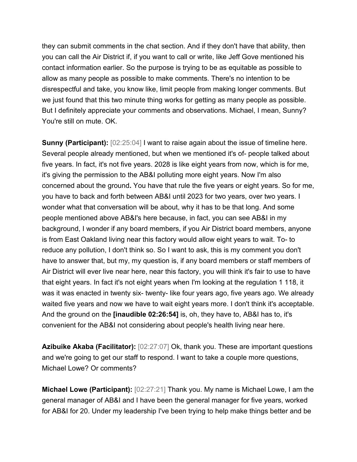they can submit comments in the chat section. And if they don't have that ability, then you can call the Air District if, if you want to call or write, like Jeff Gove mentioned his contact information earlier. So the purpose is trying to be as equitable as possible to allow as many people as possible to make comments. There's no intention to be disrespectful and take, you know like, limit people from making longer comments. But we just found that this two minute thing works for getting as many people as possible. But I definitely appreciate your comments and observations. Michael, I mean, Sunny? You're still on mute. OK.

**Sunny (Participant):**  $[02:25:04]$  I want to raise again about the issue of timeline here. Several people already mentioned, but when we mentioned it's of- people talked about five years. In fact, it's not five years. 2028 is like eight years from now, which is for me, it's giving the permission to the AB&I polluting more eight years. Now I'm also concerned about the ground**.** You have that rule the five years or eight years. So for me, you have to back and forth between AB&I until 2023 for two years, over two years. I wonder what that conversation will be about, why it has to be that long. And some people mentioned above AB&I's here because, in fact, you can see AB&I in my background, I wonder if any board members, if you Air District board members, anyone is from East Oakland living near this factory would allow eight years to wait. To- to reduce any pollution, I don't think so. So I want to ask, this is my comment you don't have to answer that, but my, my question is, if any board members or staff members of Air District will ever live near here, near this factory, you will think it's fair to use to have that eight years. In fact it's not eight years when I'm looking at the regulation 1 118, it was it was enacted in twenty six- twenty- like four years ago, five years ago. We already waited five years and now we have to wait eight years more. I don't think it's acceptable. And the ground on the **[inaudible 02:26:54]** is, oh, they have to, AB&I has to, it's convenient for the AB&I not considering about people's health living near here.

**Azibuike Akaba (Facilitator):**  $[02:27:07]$  Ok, thank you. These are important questions and we're going to get our staff to respond. I want to take a couple more questions, Michael Lowe? Or comments?

**Michael Lowe (Participant):** [02:27:21] Thank you. My name is Michael Lowe, I am the general manager of AB&I and I have been the general manager for five years, worked for AB&I for 20. Under my leadership I've been trying to help make things better and be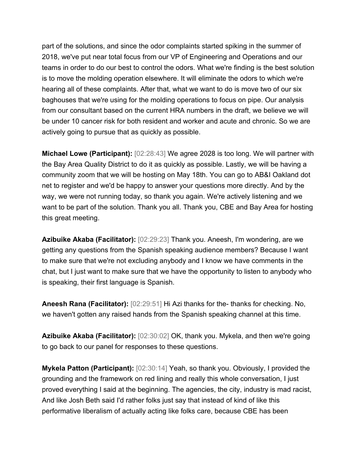part of the solutions, and since the odor complaints started spiking in the summer of 2018, we've put near total focus from our VP of Engineering and Operations and our teams in order to do our best to control the odors. What we're finding is the best solution is to move the molding operation elsewhere. It will eliminate the odors to which we're hearing all of these complaints. After that, what we want to do is move two of our six baghouses that we're using for the molding operations to focus on pipe. Our analysis from our consultant based on the current HRA numbers in the draft, we believe we will be under 10 cancer risk for both resident and worker and acute and chronic. So we are actively going to pursue that as quickly as possible.

**Michael Lowe (Participant):** [02:28:43] We agree 2028 is too long. We will partner with the Bay Area Quality District to do it as quickly as possible. Lastly, we will be having a community zoom that we will be hosting on May 18th. You can go to AB&I Oakland dot net to register and we'd be happy to answer your questions more directly. And by the way, we were not running today, so thank you again. We're actively listening and we want to be part of the solution. Thank you all. Thank you, CBE and Bay Area for hosting this great meeting.

**Azibuike Akaba (Facilitator):** [02:29:23] Thank you. Aneesh, I'm wondering, are we getting any questions from the Spanish speaking audience members? Because I want to make sure that we're not excluding anybody and I know we have comments in the chat, but I just want to make sure that we have the opportunity to listen to anybody who is speaking, their first language is Spanish.

**Aneesh Rana (Facilitator):** [02:29:51] Hi Azi thanks for the- thanks for checking. No, we haven't gotten any raised hands from the Spanish speaking channel at this time.

**Azibuike Akaba (Facilitator):** [02:30:02] OK, thank you. Mykela, and then we're going to go back to our panel for responses to these questions.

**Mykela Patton (Participant):** [02:30:14] Yeah, so thank you. Obviously, I provided the grounding and the framework on red lining and really this whole conversation, I just proved everything I said at the beginning. The agencies, the city, industry is mad racist, And like Josh Beth said I'd rather folks just say that instead of kind of like this performative liberalism of actually acting like folks care, because CBE has been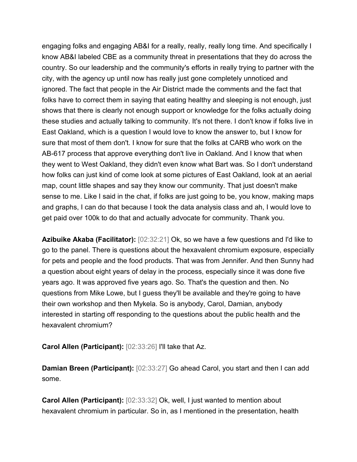engaging folks and engaging AB&I for a really, really, really long time. And specifically I know AB&I labeled CBE as a community threat in presentations that they do across the country. So our leadership and the community's efforts in really trying to partner with the city, with the agency up until now has really just gone completely unnoticed and ignored. The fact that people in the Air District made the comments and the fact that folks have to correct them in saying that eating healthy and sleeping is not enough, just shows that there is clearly not enough support or knowledge for the folks actually doing these studies and actually talking to community. It's not there. I don't know if folks live in East Oakland, which is a question I would love to know the answer to, but I know for sure that most of them don't. I know for sure that the folks at CARB who work on the AB-617 process that approve everything don't live in Oakland. And I know that when they went to West Oakland, they didn't even know what Bart was. So I don't understand how folks can just kind of come look at some pictures of East Oakland, look at an aerial map, count little shapes and say they know our community. That just doesn't make sense to me. Like I said in the chat, if folks are just going to be, you know, making maps and graphs, I can do that because I took the data analysis class and ah, I would love to get paid over 100k to do that and actually advocate for community. Thank you.

**Azibuike Akaba (Facilitator):** [02:32:21] Ok, so we have a few questions and I'd like to go to the panel. There is questions about the hexavalent chromium exposure, especially for pets and people and the food products. That was from Jennifer. And then Sunny had a question about eight years of delay in the process, especially since it was done five years ago. It was approved five years ago. So. That's the question and then. No questions from Mike Lowe, but I guess they'll be available and they're going to have their own workshop and then Mykela. So is anybody, Carol, Damian, anybody interested in starting off responding to the questions about the public health and the hexavalent chromium?

**Carol Allen (Participant):** [02:33:26] I'll take that Az.

**Damian Breen (Participant):** [02:33:27] Go ahead Carol, you start and then I can add some.

**Carol Allen (Participant):** [02:33:32] Ok, well, I just wanted to mention about hexavalent chromium in particular. So in, as I mentioned in the presentation, health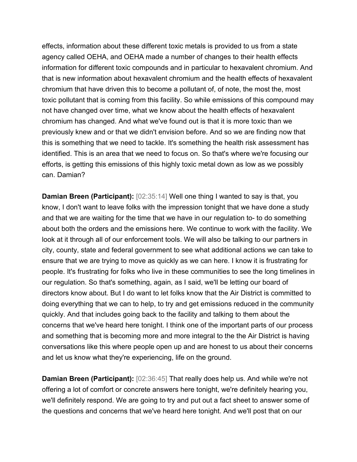effects, information about these different toxic metals is provided to us from a state agency called OEHA, and OEHA made a number of changes to their health effects information for different toxic compounds and in particular to hexavalent chromium. And that is new information about hexavalent chromium and the health effects of hexavalent chromium that have driven this to become a pollutant of, of note, the most the, most toxic pollutant that is coming from this facility. So while emissions of this compound may not have changed over time, what we know about the health effects of hexavalent chromium has changed. And what we've found out is that it is more toxic than we previously knew and or that we didn't envision before. And so we are finding now that this is something that we need to tackle. It's something the health risk assessment has identified. This is an area that we need to focus on. So that's where we're focusing our efforts, is getting this emissions of this highly toxic metal down as low as we possibly can. Damian?

**Damian Breen (Participant):**  $[02:35:14]$  Well one thing I wanted to say is that, you know, I don't want to leave folks with the impression tonight that we have done a study and that we are waiting for the time that we have in our regulation to- to do something about both the orders and the emissions here. We continue to work with the facility. We look at it through all of our enforcement tools. We will also be talking to our partners in city, county, state and federal government to see what additional actions we can take to ensure that we are trying to move as quickly as we can here. I know it is frustrating for people. It's frustrating for folks who live in these communities to see the long timelines in our regulation. So that's something, again, as I said, we'll be letting our board of directors know about. But I do want to let folks know that the Air District is committed to doing everything that we can to help, to try and get emissions reduced in the community quickly. And that includes going back to the facility and talking to them about the concerns that we've heard here tonight. I think one of the important parts of our process and something that is becoming more and more integral to the the Air District is having conversations like this where people open up and are honest to us about their concerns and let us know what they're experiencing, life on the ground.

**Damian Breen (Participant):** [02:36:45] That really does help us. And while we're not offering a lot of comfort or concrete answers here tonight, we're definitely hearing you, we'll definitely respond. We are going to try and put out a fact sheet to answer some of the questions and concerns that we've heard here tonight. And we'll post that on our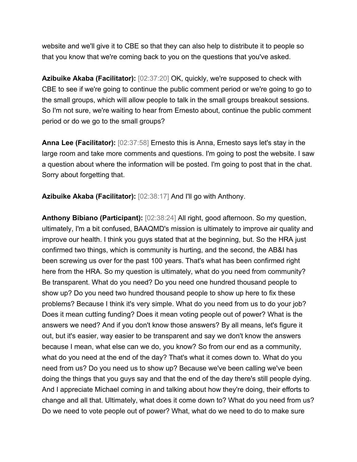website and we'll give it to CBE so that they can also help to distribute it to people so that you know that we're coming back to you on the questions that you've asked.

**Azibuike Akaba (Facilitator):** [02:37:20] OK, quickly, we're supposed to check with CBE to see if we're going to continue the public comment period or we're going to go to the small groups, which will allow people to talk in the small groups breakout sessions. So I'm not sure, we're waiting to hear from Ernesto about, continue the public comment period or do we go to the small groups?

**Anna Lee (Facilitator):** [02:37:58] Ernesto this is Anna, Ernesto says let's stay in the large room and take more comments and questions. I'm going to post the website. I saw a question about where the information will be posted. I'm going to post that in the chat. Sorry about forgetting that.

**Azibuike Akaba (Facilitator):** [02:38:17] And I'll go with Anthony.

**Anthony Bibiano (Participant):** [02:38:24] All right, good afternoon. So my question, ultimately, I'm a bit confused, BAAQMD's mission is ultimately to improve air quality and improve our health. I think you guys stated that at the beginning, but. So the HRA just confirmed two things, which is community is hurting, and the second, the AB&I has been screwing us over for the past 100 years. That's what has been confirmed right here from the HRA. So my question is ultimately, what do you need from community? Be transparent. What do you need? Do you need one hundred thousand people to show up? Do you need two hundred thousand people to show up here to fix these problems? Because I think it's very simple. What do you need from us to do your job? Does it mean cutting funding? Does it mean voting people out of power? What is the answers we need? And if you don't know those answers? By all means, let's figure it out, but it's easier, way easier to be transparent and say we don't know the answers because I mean, what else can we do, you know? So from our end as a community, what do you need at the end of the day? That's what it comes down to. What do you need from us? Do you need us to show up? Because we've been calling we've been doing the things that you guys say and that the end of the day there's still people dying. And I appreciate Michael coming in and talking about how they're doing, their efforts to change and all that. Ultimately, what does it come down to? What do you need from us? Do we need to vote people out of power? What, what do we need to do to make sure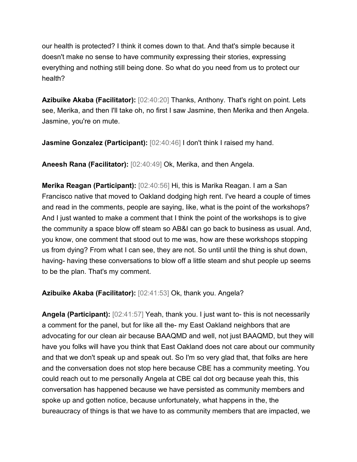our health is protected? I think it comes down to that. And that's simple because it doesn't make no sense to have community expressing their stories, expressing everything and nothing still being done. So what do you need from us to protect our health?

**Azibuike Akaba (Facilitator):** [02:40:20] Thanks, Anthony. That's right on point. Lets see, Merika, and then I'll take oh, no first I saw Jasmine, then Merika and then Angela. Jasmine, you're on mute.

**Jasmine Gonzalez (Participant):** [02:40:46] I don't think I raised my hand.

**Aneesh Rana (Facilitator):** [02:40:49] Ok, Merika, and then Angela.

**Merika Reagan (Participant):** [02:40:56] Hi, this is Marika Reagan. I am a San Francisco native that moved to Oakland dodging high rent. I've heard a couple of times and read in the comments, people are saying, like, what is the point of the workshops? And I just wanted to make a comment that I think the point of the workshops is to give the community a space blow off steam so AB&I can go back to business as usual. And, you know, one comment that stood out to me was, how are these workshops stopping us from dying? From what I can see, they are not. So until until the thing is shut down, having- having these conversations to blow off a little steam and shut people up seems to be the plan. That's my comment.

**Azibuike Akaba (Facilitator):** [02:41:53] Ok, thank you. Angela?

**Angela (Participant):** [02:41:57] Yeah, thank you. I just want to- this is not necessarily a comment for the panel, but for like all the- my East Oakland neighbors that are advocating for our clean air because BAAQMD and well, not just BAAQMD, but they will have you folks will have you think that East Oakland does not care about our community and that we don't speak up and speak out. So I'm so very glad that, that folks are here and the conversation does not stop here because CBE has a community meeting. You could reach out to me personally Angela at CBE cal dot org because yeah this, this conversation has happened because we have persisted as community members and spoke up and gotten notice, because unfortunately, what happens in the, the bureaucracy of things is that we have to as community members that are impacted, we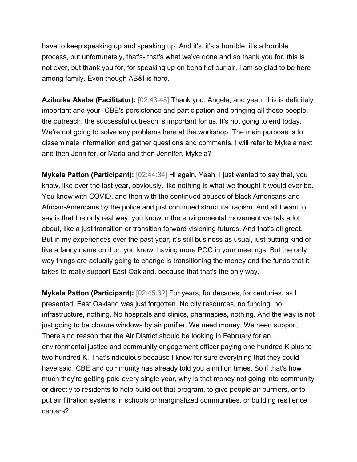have to keep speaking up and speaking up. And it's, it's a horrible, it's a horrible process, but unfortunately, that's- that's what we've done and so thank you for, this is not over, but thank you for, for speaking up on behalf of our air. I am so glad to be here among family. Even though AB&I is here.

**Azibuike Akaba (Facilitator):** [02:43:48] Thank you, Angela, and yeah, this is definitely important and your- CBE's persistence and participation and bringing all these people, the outreach, the successful outreach is important for us. It's not going to end today. We're not going to solve any problems here at the workshop. The main purpose is to disseminate information and gather questions and comments. I will refer to Mykela next and then Jennifer, or Maria and then Jennifer. Mykela?

**Mykela Patton (Participant):** [02:44:34] Hi again. Yeah, I just wanted to say that, you know, like over the last year, obviously, like nothing is what we thought it would ever be. You know with COVID, and then with the continued abuses of black Americans and African-Americans by the police and just continued structural racism. And all I want to say is that the only real way, you know in the environmental movement we talk a lot about, like a just transition or transition forward visioning futures. And that's all great. But in my experiences over the past year, it's still business as usual, just putting kind of like a fancy name on it or, you know, having more POC in your meetings. But the only way things are actually going to change is transitioning the money and the funds that it takes to really support East Oakland, because that that's the only way.

**Mykela Patton (Participant):** [02:45:32] For years, for decades, for centuries, as I presented, East Oakland was just forgotten. No city resources, no funding, no infrastructure, nothing. No hospitals and clinics, pharmacies, nothing. And the way is not just going to be closure windows by air purifier. We need money. We need support. There's no reason that the Air District should be looking in February for an environmental justice and community engagement officer paying one hundred K plus to two hundred K. That's ridiculous because I know for sure everything that they could have said, CBE and community has already told you a million times. So if that's how much they're getting paid every single year, why is that money not going into community or directly to residents to help build out that program, to give people air purifiers, or to put air filtration systems in schools or marginalized communities, or building resilience centers?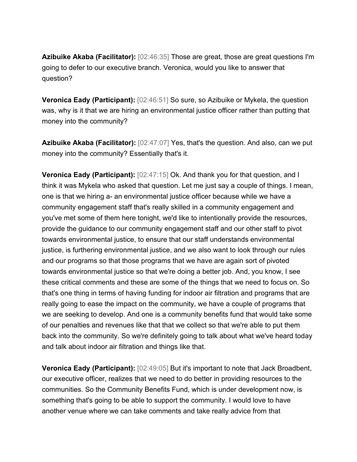**Azibuike Akaba (Facilitator):** [02:46:35] Those are great, those are great questions I'm going to defer to our executive branch. Veronica, would you like to answer that question?

**Veronica Eady (Participant):** [02:46:51] So sure, so Azibuike or Mykela, the question was, why is it that we are hiring an environmental justice officer rather than putting that money into the community?

**Azibuike Akaba (Facilitator):** [02:47:07] Yes, that's the question. And also, can we put money into the community? Essentially that's it.

**Veronica Eady (Participant):** [02:47:15] Ok. And thank you for that question, and I think it was Mykela who asked that question. Let me just say a couple of things. I mean, one is that we hiring a- an environmental justice officer because while we have a community engagement staff that's really skilled in a community engagement and you've met some of them here tonight, we'd like to intentionally provide the resources, provide the guidance to our community engagement staff and our other staff to pivot towards environmental justice, to ensure that our staff understands environmental justice, is furthering environmental justice, and we also want to look through our rules and our programs so that those programs that we have are again sort of pivoted towards environmental justice so that we're doing a better job. And, you know, I see these critical comments and these are some of the things that we need to focus on. So that's one thing in terms of having funding for indoor air filtration and programs that are really going to ease the impact on the community, we have a couple of programs that we are seeking to develop. And one is a community benefits fund that would take some of our penalties and revenues like that that we collect so that we're able to put them back into the community. So we're definitely going to talk about what we've heard today and talk about indoor air filtration and things like that.

**Veronica Eady (Participant):** [02:49:05] But it's important to note that Jack Broadbent, our executive officer, realizes that we need to do better in providing resources to the communities. So the Community Benefits Fund, which is under development now, is something that's going to be able to support the community. I would love to have another venue where we can take comments and take really advice from that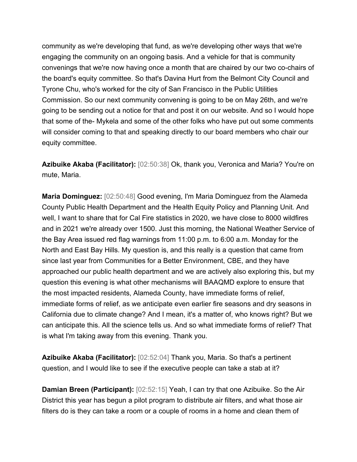community as we're developing that fund, as we're developing other ways that we're engaging the community on an ongoing basis. And a vehicle for that is community convenings that we're now having once a month that are chaired by our two co-chairs of the board's equity committee. So that's Davina Hurt from the Belmont City Council and Tyrone Chu, who's worked for the city of San Francisco in the Public Utilities Commission. So our next community convening is going to be on May 26th, and we're going to be sending out a notice for that and post it on our website. And so I would hope that some of the- Mykela and some of the other folks who have put out some comments will consider coming to that and speaking directly to our board members who chair our equity committee.

**Azibuike Akaba (Facilitator):** [02:50:38] Ok, thank you, Veronica and Maria? You're on mute, Maria.

**Maria Dominguez:** [02:50:48] Good evening, I'm Maria Dominguez from the Alameda County Public Health Department and the Health Equity Policy and Planning Unit. And well, I want to share that for Cal Fire statistics in 2020, we have close to 8000 wildfires and in 2021 we're already over 1500. Just this morning, the National Weather Service of the Bay Area issued red flag warnings from 11:00 p.m. to 6:00 a.m. Monday for the North and East Bay Hills. My question is, and this really is a question that came from since last year from Communities for a Better Environment, CBE, and they have approached our public health department and we are actively also exploring this, but my question this evening is what other mechanisms will BAAQMD explore to ensure that the most impacted residents, Alameda County, have immediate forms of relief, immediate forms of relief, as we anticipate even earlier fire seasons and dry seasons in California due to climate change? And I mean, it's a matter of, who knows right? But we can anticipate this. All the science tells us. And so what immediate forms of relief? That is what I'm taking away from this evening. Thank you.

**Azibuike Akaba (Facilitator):** [02:52:04] Thank you, Maria. So that's a pertinent question, and I would like to see if the executive people can take a stab at it?

**Damian Breen (Participant):** [02:52:15] Yeah, I can try that one Azibuike. So the Air District this year has begun a pilot program to distribute air filters, and what those air filters do is they can take a room or a couple of rooms in a home and clean them of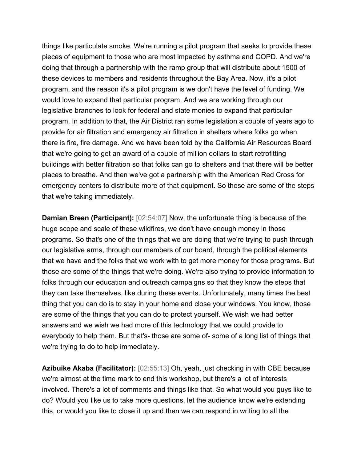things like particulate smoke. We're running a pilot program that seeks to provide these pieces of equipment to those who are most impacted by asthma and COPD. And we're doing that through a partnership with the ramp group that will distribute about 1500 of these devices to members and residents throughout the Bay Area. Now, it's a pilot program, and the reason it's a pilot program is we don't have the level of funding. We would love to expand that particular program. And we are working through our legislative branches to look for federal and state monies to expand that particular program. In addition to that, the Air District ran some legislation a couple of years ago to provide for air filtration and emergency air filtration in shelters where folks go when there is fire, fire damage. And we have been told by the California Air Resources Board that we're going to get an award of a couple of million dollars to start retrofitting buildings with better filtration so that folks can go to shelters and that there will be better places to breathe. And then we've got a partnership with the American Red Cross for emergency centers to distribute more of that equipment. So those are some of the steps that we're taking immediately.

**Damian Breen (Participant):** [02:54:07] Now, the unfortunate thing is because of the huge scope and scale of these wildfires, we don't have enough money in those programs. So that's one of the things that we are doing that we're trying to push through our legislative arms, through our members of our board, through the political elements that we have and the folks that we work with to get more money for those programs. But those are some of the things that we're doing. We're also trying to provide information to folks through our education and outreach campaigns so that they know the steps that they can take themselves, like during these events. Unfortunately, many times the best thing that you can do is to stay in your home and close your windows. You know, those are some of the things that you can do to protect yourself. We wish we had better answers and we wish we had more of this technology that we could provide to everybody to help them. But that's- those are some of- some of a long list of things that we're trying to do to help immediately.

**Azibuike Akaba (Facilitator):** [02:55:13] Oh, yeah, just checking in with CBE because we're almost at the time mark to end this workshop, but there's a lot of interests involved. There's a lot of comments and things like that. So what would you guys like to do? Would you like us to take more questions, let the audience know we're extending this, or would you like to close it up and then we can respond in writing to all the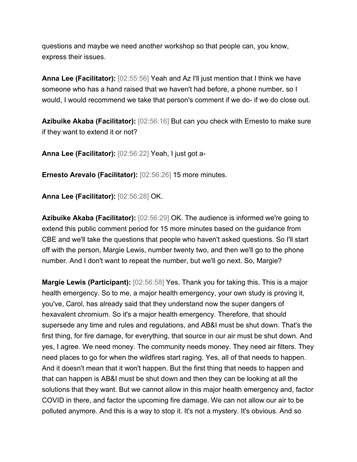questions and maybe we need another workshop so that people can, you know, express their issues.

**Anna Lee (Facilitator):** [02:55:56] Yeah and Az I'll just mention that I think we have someone who has a hand raised that we haven't had before, a phone number, so I would, I would recommend we take that person's comment if we do- if we do close out.

**Azibuike Akaba (Facilitator):** [02:56:16] But can you check with Ernesto to make sure if they want to extend it or not?

**Anna Lee (Facilitator):** [02:56:22] Yeah, I just got a-

**Ernesto Arevalo (Facilitator):** [02:56:26] 15 more minutes.

**Anna Lee (Facilitator):** [02:56:28] OK.

**Azibuike Akaba (Facilitator):** [02:56:29] OK. The audience is informed we're going to extend this public comment period for 15 more minutes based on the guidance from CBE and we'll take the questions that people who haven't asked questions. So I'll start off with the person, Margie Lewis, number twenty two, and then we'll go to the phone number. And I don't want to repeat the number, but we'll go next. So, Margie?

**Margie Lewis (Participant):** [02:56:58] Yes. Thank you for taking this. This is a major health emergency. So to me, a major health emergency, your own study is proving it, you've, Carol, has already said that they understand now the super dangers of hexavalent chromium. So it's a major health emergency. Therefore, that should supersede any time and rules and regulations, and AB&I must be shut down. That's the first thing, for fire damage, for everything, that source in our air must be shut down. And yes, I agree. We need money. The community needs money. They need air filters. They need places to go for when the wildfires start raging. Yes, all of that needs to happen. And it doesn't mean that it won't happen. But the first thing that needs to happen and that can happen is AB&I must be shut down and then they can be looking at all the solutions that they want. But we cannot allow in this major health emergency and, factor COVID in there, and factor the upcoming fire damage. We can not allow our air to be polluted anymore. And this is a way to stop it. It's not a mystery. It's obvious. And so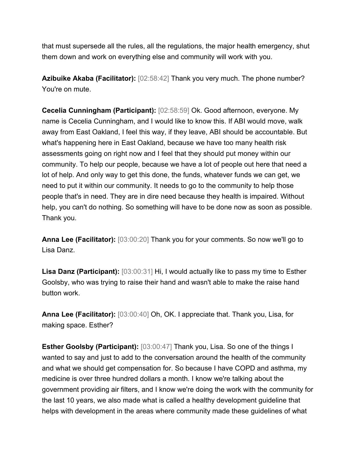that must supersede all the rules, all the regulations, the major health emergency, shut them down and work on everything else and community will work with you.

**Azibuike Akaba (Facilitator):** [02:58:42] Thank you very much. The phone number? You're on mute.

**Cecelia Cunningham (Participant):** [02:58:59] Ok. Good afternoon, everyone. My name is Cecelia Cunningham, and I would like to know this. If ABI would move, walk away from East Oakland, I feel this way, if they leave, ABI should be accountable. But what's happening here in East Oakland, because we have too many health risk assessments going on right now and I feel that they should put money within our community. To help our people, because we have a lot of people out here that need a lot of help. And only way to get this done, the funds, whatever funds we can get, we need to put it within our community. It needs to go to the community to help those people that's in need. They are in dire need because they health is impaired. Without help, you can't do nothing. So something will have to be done now as soon as possible. Thank you.

**Anna Lee (Facilitator):** [03:00:20] Thank you for your comments. So now we'll go to Lisa Danz.

**Lisa Danz (Participant):** [03:00:31] Hi, I would actually like to pass my time to Esther Goolsby, who was trying to raise their hand and wasn't able to make the raise hand button work.

**Anna Lee (Facilitator):** [03:00:40] Oh, OK. I appreciate that. Thank you, Lisa, for making space. Esther?

**Esther Goolsby (Participant):** [03:00:47] Thank you, Lisa. So one of the things I wanted to say and just to add to the conversation around the health of the community and what we should get compensation for. So because I have COPD and asthma, my medicine is over three hundred dollars a month. I know we're talking about the government providing air filters, and I know we're doing the work with the community for the last 10 years, we also made what is called a healthy development guideline that helps with development in the areas where community made these guidelines of what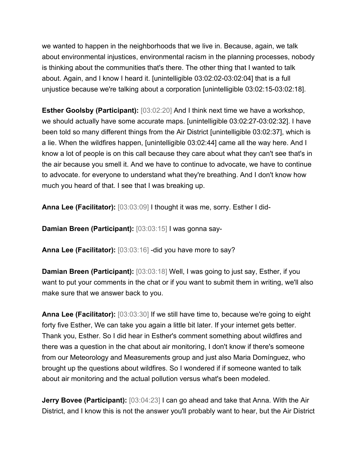we wanted to happen in the neighborhoods that we live in. Because, again, we talk about environmental injustices, environmental racism in the planning processes, nobody is thinking about the communities that's there. The other thing that I wanted to talk about. Again, and I know I heard it. [unintelligible 03:02:02-03:02:04] that is a full unjustice because we're talking about a corporation [unintelligible 03:02:15-03:02:18].

**Esther Goolsby (Participant):** [03:02:20] And I think next time we have a workshop, we should actually have some accurate maps. [unintelligible 03:02:27-03:02:32]. I have been told so many different things from the Air District [unintelligible 03:02:37], which is a lie. When the wildfires happen, [unintelligible 03:02:44] came all the way here. And I know a lot of people is on this call because they care about what they can't see that's in the air because you smell it. And we have to continue to advocate, we have to continue to advocate. for everyone to understand what they're breathing. And I don't know how much you heard of that. I see that I was breaking up.

**Anna Lee (Facilitator):** [03:03:09] I thought it was me, sorry. Esther I did-

**Damian Breen (Participant):** [03:03:15] I was gonna say-

**Anna Lee (Facilitator):** [03:03:16] -did you have more to say?

**Damian Breen (Participant):** [03:03:18] Well, I was going to just say, Esther, if you want to put your comments in the chat or if you want to submit them in writing, we'll also make sure that we answer back to you.

**Anna Lee (Facilitator):** [03:03:30] If we still have time to, because we're going to eight forty five Esther, We can take you again a little bit later. If your internet gets better. Thank you, Esther. So I did hear in Esther's comment something about wildfires and there was a question in the chat about air monitoring, I don't know if there's someone from our Meteorology and Measurements group and just also Maria Domínguez, who brought up the questions about wildfires. So I wondered if if someone wanted to talk about air monitoring and the actual pollution versus what's been modeled.

**Jerry Bovee (Participant):** [03:04:23] I can go ahead and take that Anna. With the Air District, and I know this is not the answer you'll probably want to hear, but the Air District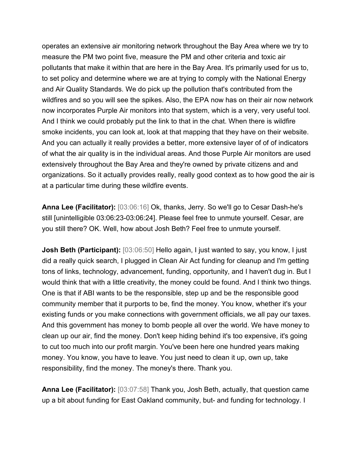operates an extensive air monitoring network throughout the Bay Area where we try to measure the PM two point five, measure the PM and other criteria and toxic air pollutants that make it within that are here in the Bay Area. It's primarily used for us to, to set policy and determine where we are at trying to comply with the National Energy and Air Quality Standards. We do pick up the pollution that's contributed from the wildfires and so you will see the spikes. Also, the EPA now has on their air now network now incorporates Purple Air monitors into that system, which is a very, very useful tool. And I think we could probably put the link to that in the chat. When there is wildfire smoke incidents, you can look at, look at that mapping that they have on their website. And you can actually it really provides a better, more extensive layer of of of indicators of what the air quality is in the individual areas. And those Purple Air monitors are used extensively throughout the Bay Area and they're owned by private citizens and and organizations. So it actually provides really, really good context as to how good the air is at a particular time during these wildfire events.

**Anna Lee (Facilitator):** [03:06:16] Ok, thanks, Jerry. So we'll go to Cesar Dash-he's still [unintelligible 03:06:23-03:06:24]. Please feel free to unmute yourself. Cesar, are you still there? OK. Well, how about Josh Beth? Feel free to unmute yourself.

**Josh Beth (Participant):** [03:06:50] Hello again, I just wanted to say, you know, I just did a really quick search, I plugged in Clean Air Act funding for cleanup and I'm getting tons of links, technology, advancement, funding, opportunity, and I haven't dug in. But I would think that with a little creativity, the money could be found. And I think two things. One is that if ABI wants to be the responsible, step up and be the responsible good community member that it purports to be, find the money. You know, whether it's your existing funds or you make connections with government officials, we all pay our taxes. And this government has money to bomb people all over the world. We have money to clean up our air, find the money. Don't keep hiding behind it's too expensive, it's going to cut too much into our profit margin. You've been here one hundred years making money. You know, you have to leave. You just need to clean it up, own up, take responsibility, find the money. The money's there. Thank you.

**Anna Lee (Facilitator):** [03:07:58] Thank you, Josh Beth, actually, that question came up a bit about funding for East Oakland community, but- and funding for technology. I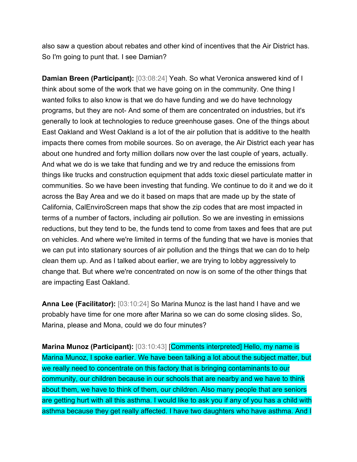also saw a question about rebates and other kind of incentives that the Air District has. So I'm going to punt that. I see Damian?

**Damian Breen (Participant):** [03:08:24] Yeah. So what Veronica answered kind of I think about some of the work that we have going on in the community. One thing I wanted folks to also know is that we do have funding and we do have technology programs, but they are not- And some of them are concentrated on industries, but it's generally to look at technologies to reduce greenhouse gases. One of the things about East Oakland and West Oakland is a lot of the air pollution that is additive to the health impacts there comes from mobile sources. So on average, the Air District each year has about one hundred and forty million dollars now over the last couple of years, actually. And what we do is we take that funding and we try and reduce the emissions from things like trucks and construction equipment that adds toxic diesel particulate matter in communities. So we have been investing that funding. We continue to do it and we do it across the Bay Area and we do it based on maps that are made up by the state of California, CalEnviroScreen maps that show the zip codes that are most impacted in terms of a number of factors, including air pollution. So we are investing in emissions reductions, but they tend to be, the funds tend to come from taxes and fees that are put on vehicles. And where we're limited in terms of the funding that we have is monies that we can put into stationary sources of air pollution and the things that we can do to help clean them up. And as I talked about earlier, we are trying to lobby aggressively to change that. But where we're concentrated on now is on some of the other things that are impacting East Oakland.

**Anna Lee (Facilitator):** [03:10:24] So Marina Munoz is the last hand I have and we probably have time for one more after Marina so we can do some closing slides. So, Marina, please and Mona, could we do four minutes?

**Marina Munoz (Participant):** [03:10:43] [Comments interpreted] Hello, my name is Marina Munoz, I spoke earlier. We have been talking a lot about the subject matter, but we really need to concentrate on this factory that is bringing contaminants to our community, our children because in our schools that are nearby and we have to think about them, we have to think of them, our children. Also many people that are seniors are getting hurt with all this asthma. I would like to ask you if any of you has a child with asthma because they get really affected. I have two daughters who have asthma. And I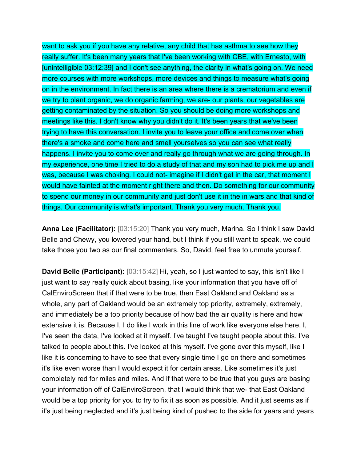want to ask you if you have any relative, any child that has asthma to see how they really suffer. It's been many years that I've been working with CBE, with Ernesto, with [unintelligible 03:12:39] and I don't see anything, the clarity in what's going on. We need more courses with more workshops, more devices and things to measure what's going on in the environment. In fact there is an area where there is a crematorium and even if we try to plant organic, we do organic farming, we are- our plants, our vegetables are getting contaminated by the situation. So you should be doing more workshops and meetings like this. I don't know why you didn't do it. It's been years that we've been trying to have this conversation. I invite you to leave your office and come over when there's a smoke and come here and smell yourselves so you can see what really happens. I invite you to come over and really go through what we are going through. In my experience, one time I tried to do a study of that and my son had to pick me up and I was, because I was choking. I could not- imagine if I didn't get in the car, that moment I would have fainted at the moment right there and then. Do something for our community to spend our money in our community and just don't use it in the in wars and that kind of things. Our community is what's important. Thank you very much. Thank you.

**Anna Lee (Facilitator):** [03:15:20] Thank you very much, Marina. So I think I saw David Belle and Chewy, you lowered your hand, but I think if you still want to speak, we could take those you two as our final commenters. So, David, feel free to unmute yourself.

**David Belle (Participant):** [03:15:42] Hi, yeah, so I just wanted to say, this isn't like I just want to say really quick about basing, like your information that you have off of CalEnviroScreen that if that were to be true, then East Oakland and Oakland as a whole, any part of Oakland would be an extremely top priority, extremely, extremely, and immediately be a top priority because of how bad the air quality is here and how extensive it is. Because I, I do like I work in this line of work like everyone else here. I, I've seen the data, I've looked at it myself. I've taught I've taught people about this. I've talked to people about this. I've looked at this myself. I've gone over this myself, like I like it is concerning to have to see that every single time I go on there and sometimes it's like even worse than I would expect it for certain areas. Like sometimes it's just completely red for miles and miles. And if that were to be true that you guys are basing your information off of CalEnviroScreen, that I would think that we- that East Oakland would be a top priority for you to try to fix it as soon as possible. And it just seems as if it's just being neglected and it's just being kind of pushed to the side for years and years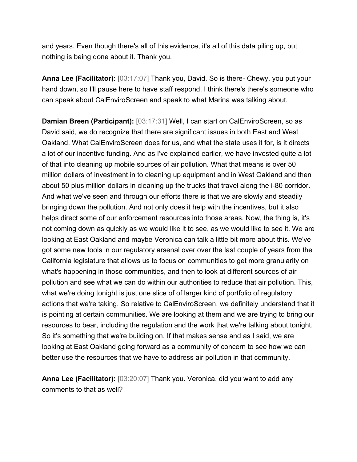and years. Even though there's all of this evidence, it's all of this data piling up, but nothing is being done about it. Thank you.

**Anna Lee (Facilitator):** [03:17:07] Thank you, David. So is there- Chewy, you put your hand down, so I'll pause here to have staff respond. I think there's there's someone who can speak about CalEnviroScreen and speak to what Marina was talking about.

**Damian Breen (Participant):** [03:17:31] Well, I can start on CalEnviroScreen, so as David said, we do recognize that there are significant issues in both East and West Oakland. What CalEnviroScreen does for us, and what the state uses it for, is it directs a lot of our incentive funding. And as I've explained earlier, we have invested quite a lot of that into cleaning up mobile sources of air pollution. What that means is over 50 million dollars of investment in to cleaning up equipment and in West Oakland and then about 50 plus million dollars in cleaning up the trucks that travel along the i-80 corridor. And what we've seen and through our efforts there is that we are slowly and steadily bringing down the pollution. And not only does it help with the incentives, but it also helps direct some of our enforcement resources into those areas. Now, the thing is, it's not coming down as quickly as we would like it to see, as we would like to see it. We are looking at East Oakland and maybe Veronica can talk a little bit more about this. We've got some new tools in our regulatory arsenal over over the last couple of years from the California legislature that allows us to focus on communities to get more granularity on what's happening in those communities, and then to look at different sources of air pollution and see what we can do within our authorities to reduce that air pollution. This, what we're doing tonight is just one slice of of larger kind of portfolio of regulatory actions that we're taking. So relative to CalEnviroScreen, we definitely understand that it is pointing at certain communities. We are looking at them and we are trying to bring our resources to bear, including the regulation and the work that we're talking about tonight. So it's something that we're building on. If that makes sense and as I said, we are looking at East Oakland going forward as a community of concern to see how we can better use the resources that we have to address air pollution in that community.

**Anna Lee (Facilitator):** [03:20:07] Thank you. Veronica, did you want to add any comments to that as well?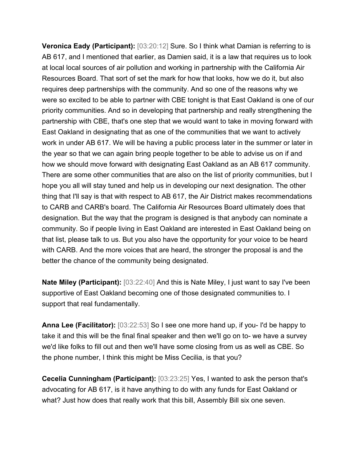**Veronica Eady (Participant):** [03:20:12] Sure. So I think what Damian is referring to is AB 617, and I mentioned that earlier, as Damien said, it is a law that requires us to look at local local sources of air pollution and working in partnership with the California Air Resources Board. That sort of set the mark for how that looks, how we do it, but also requires deep partnerships with the community. And so one of the reasons why we were so excited to be able to partner with CBE tonight is that East Oakland is one of our priority communities. And so in developing that partnership and really strengthening the partnership with CBE, that's one step that we would want to take in moving forward with East Oakland in designating that as one of the communities that we want to actively work in under AB 617. We will be having a public process later in the summer or later in the year so that we can again bring people together to be able to advise us on if and how we should move forward with designating East Oakland as an AB 617 community. There are some other communities that are also on the list of priority communities, but I hope you all will stay tuned and help us in developing our next designation. The other thing that I'll say is that with respect to AB 617, the Air District makes recommendations to CARB and CARB's board. The California Air Resources Board ultimately does that designation. But the way that the program is designed is that anybody can nominate a community. So if people living in East Oakland are interested in East Oakland being on that list, please talk to us. But you also have the opportunity for your voice to be heard with CARB. And the more voices that are heard, the stronger the proposal is and the better the chance of the community being designated.

**Nate Miley (Participant):** [03:22:40] And this is Nate Miley, I just want to say I've been supportive of East Oakland becoming one of those designated communities to. I support that real fundamentally.

**Anna Lee (Facilitator):** [03:22:53] So I see one more hand up, if you- I'd be happy to take it and this will be the final final speaker and then we'll go on to- we have a survey we'd like folks to fill out and then we'll have some closing from us as well as CBE. So the phone number, I think this might be Miss Cecilia, is that you?

**Cecelia Cunningham (Participant):** [03:23:25] Yes, I wanted to ask the person that's advocating for AB 617, is it have anything to do with any funds for East Oakland or what? Just how does that really work that this bill, Assembly Bill six one seven.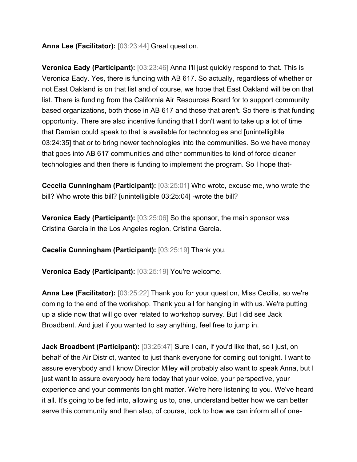**Anna Lee (Facilitator):** [03:23:44] Great question.

**Veronica Eady (Participant):** [03:23:46] Anna I'll just quickly respond to that. This is Veronica Eady. Yes, there is funding with AB 617. So actually, regardless of whether or not East Oakland is on that list and of course, we hope that East Oakland will be on that list. There is funding from the California Air Resources Board for to support community based organizations, both those in AB 617 and those that aren't. So there is that funding opportunity. There are also incentive funding that I don't want to take up a lot of time that Damian could speak to that is available for technologies and [unintelligible 03:24:35] that or to bring newer technologies into the communities. So we have money that goes into AB 617 communities and other communities to kind of force cleaner technologies and then there is funding to implement the program. So I hope that-

**Cecelia Cunningham (Participant):** [03:25:01] Who wrote, excuse me, who wrote the bill? Who wrote this bill? [unintelligible 03:25:04] -wrote the bill?

**Veronica Eady (Participant):** [03:25:06] So the sponsor, the main sponsor was Cristina Garcia in the Los Angeles region. Cristina Garcia.

**Cecelia Cunningham (Participant):** [03:25:19] Thank you.

**Veronica Eady (Participant):** [03:25:19] You're welcome.

**Anna Lee (Facilitator):** [03:25:22] Thank you for your question, Miss Cecilia, so we're coming to the end of the workshop. Thank you all for hanging in with us. We're putting up a slide now that will go over related to workshop survey. But I did see Jack Broadbent. And just if you wanted to say anything, feel free to jump in.

**Jack Broadbent (Participant):** [03:25:47] Sure I can, if you'd like that, so I just, on behalf of the Air District, wanted to just thank everyone for coming out tonight. I want to assure everybody and I know Director Miley will probably also want to speak Anna, but I just want to assure everybody here today that your voice, your perspective, your experience and your comments tonight matter. We're here listening to you. We've heard it all. It's going to be fed into, allowing us to, one, understand better how we can better serve this community and then also, of course, look to how we can inform all of one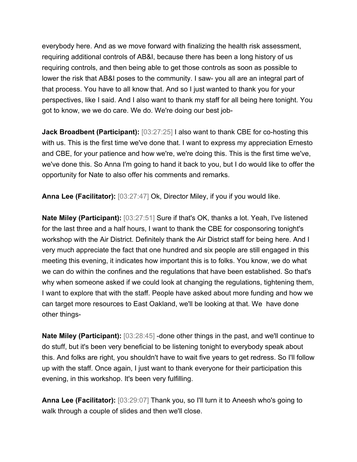everybody here. And as we move forward with finalizing the health risk assessment, requiring additional controls of AB&I, because there has been a long history of us requiring controls, and then being able to get those controls as soon as possible to lower the risk that AB&I poses to the community. I saw- you all are an integral part of that process. You have to all know that. And so I just wanted to thank you for your perspectives, like I said. And I also want to thank my staff for all being here tonight. You got to know, we we do care. We do. We're doing our best job-

**Jack Broadbent (Participant):**  $[03:27:25]$  I also want to thank CBE for co-hosting this with us. This is the first time we've done that. I want to express my appreciation Ernesto and CBE, for your patience and how we're, we're doing this. This is the first time we've, we've done this. So Anna I'm going to hand it back to you, but I do would like to offer the opportunity for Nate to also offer his comments and remarks.

**Anna Lee (Facilitator):** [03:27:47] Ok, Director Miley, if you if you would like.

**Nate Miley (Participant):** [03:27:51] Sure if that's OK, thanks a lot. Yeah, I've listened for the last three and a half hours, I want to thank the CBE for cosponsoring tonight's workshop with the Air District. Definitely thank the Air District staff for being here. And I very much appreciate the fact that one hundred and six people are still engaged in this meeting this evening, it indicates how important this is to folks. You know, we do what we can do within the confines and the regulations that have been established. So that's why when someone asked if we could look at changing the regulations, tightening them, I want to explore that with the staff. People have asked about more funding and how we can target more resources to East Oakland, we'll be looking at that. We have done other things-

**Nate Miley (Participant):** [03:28:45] -done other things in the past, and we'll continue to do stuff, but it's been very beneficial to be listening tonight to everybody speak about this. And folks are right, you shouldn't have to wait five years to get redress. So I'll follow up with the staff. Once again, I just want to thank everyone for their participation this evening, in this workshop. It's been very fulfilling.

**Anna Lee (Facilitator):** [03:29:07] Thank you, so I'll turn it to Aneesh who's going to walk through a couple of slides and then we'll close.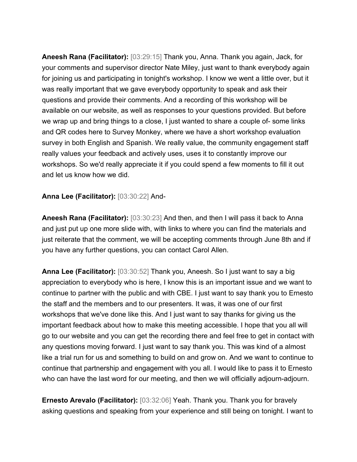**Aneesh Rana (Facilitator):** [03:29:15] Thank you, Anna. Thank you again, Jack, for your comments and supervisor director Nate Miley, just want to thank everybody again for joining us and participating in tonight's workshop. I know we went a little over, but it was really important that we gave everybody opportunity to speak and ask their questions and provide their comments. And a recording of this workshop will be available on our website, as well as responses to your questions provided. But before we wrap up and bring things to a close, I just wanted to share a couple of- some links and QR codes here to Survey Monkey, where we have a short workshop evaluation survey in both English and Spanish. We really value, the community engagement staff really values your feedback and actively uses, uses it to constantly improve our workshops. So we'd really appreciate it if you could spend a few moments to fill it out and let us know how we did.

## **Anna Lee (Facilitator):** [03:30:22] And-

**Aneesh Rana (Facilitator):** [03:30:23] And then, and then I will pass it back to Anna and just put up one more slide with, with links to where you can find the materials and just reiterate that the comment, we will be accepting comments through June 8th and if you have any further questions, you can contact Carol Allen.

**Anna Lee (Facilitator):** [03:30:52] Thank you, Aneesh. So I just want to say a big appreciation to everybody who is here, I know this is an important issue and we want to continue to partner with the public and with CBE. I just want to say thank you to Ernesto the staff and the members and to our presenters. It was, it was one of our first workshops that we've done like this. And I just want to say thanks for giving us the important feedback about how to make this meeting accessible. I hope that you all will go to our website and you can get the recording there and feel free to get in contact with any questions moving forward. I just want to say thank you. This was kind of a almost like a trial run for us and something to build on and grow on. And we want to continue to continue that partnership and engagement with you all. I would like to pass it to Ernesto who can have the last word for our meeting, and then we will officially adjourn-adjourn.

**Ernesto Arevalo (Facilitator):** [03:32:06] Yeah. Thank you. Thank you for bravely asking questions and speaking from your experience and still being on tonight. I want to